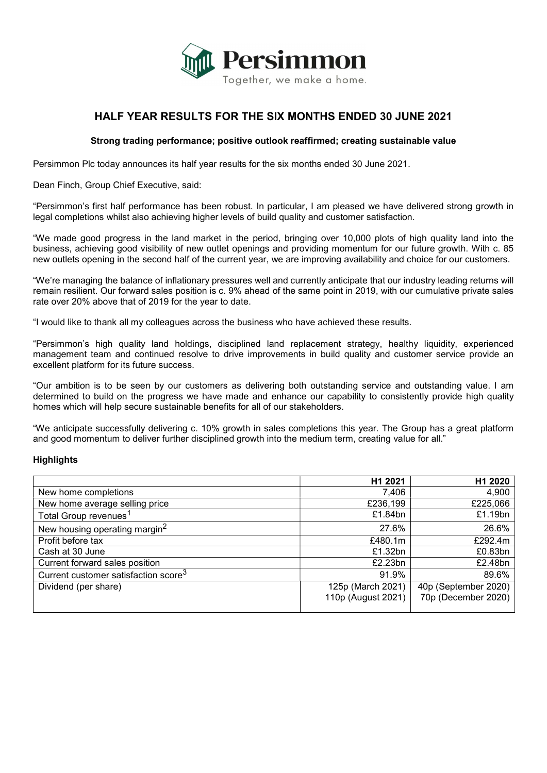

# HALF YEAR RESULTS FOR THE SIX MONTHS ENDED 30 JUNE 2021

# Strong trading performance; positive outlook reaffirmed; creating sustainable value

Persimmon Plc today announces its half year results for the six months ended 30 June 2021.

Dean Finch, Group Chief Executive, said:

"Persimmon's first half performance has been robust. In particular, I am pleased we have delivered strong growth in legal completions whilst also achieving higher levels of build quality and customer satisfaction.

"We made good progress in the land market in the period, bringing over 10,000 plots of high quality land into the business, achieving good visibility of new outlet openings and providing momentum for our future growth. With c. 85 new outlets opening in the second half of the current year, we are improving availability and choice for our customers.

"We're managing the balance of inflationary pressures well and currently anticipate that our industry leading returns will remain resilient. Our forward sales position is c. 9% ahead of the same point in 2019, with our cumulative private sales rate over 20% above that of 2019 for the year to date.

"I would like to thank all my colleagues across the business who have achieved these results.

"Persimmon's high quality land holdings, disciplined land replacement strategy, healthy liquidity, experienced management team and continued resolve to drive improvements in build quality and customer service provide an excellent platform for its future success.

"Our ambition is to be seen by our customers as delivering both outstanding service and outstanding value. I am determined to build on the progress we have made and enhance our capability to consistently provide high quality homes which will help secure sustainable benefits for all of our stakeholders.

"We anticipate successfully delivering c. 10% growth in sales completions this year. The Group has a great platform and good momentum to deliver further disciplined growth into the medium term, creating value for all."

#### **Highlights**

|                                                  | H1 2021            | H1 2020              |
|--------------------------------------------------|--------------------|----------------------|
| New home completions                             | 7,406              | 4,900                |
| New home average selling price                   | £236,199           | £225,066             |
| Total Group revenues <sup>1</sup>                | £1.84bn            | £1.19bn              |
| New housing operating margin <sup>2</sup>        | 27.6%              | 26.6%                |
| Profit before tax                                | £480.1m            | £292.4m              |
| Cash at 30 June                                  | £1.32bn            | £0.83bn              |
| Current forward sales position                   | £2.23bn            | £2.48bn              |
| Current customer satisfaction score <sup>3</sup> | 91.9%              | 89.6%                |
| Dividend (per share)                             | 125p (March 2021)  | 40p (September 2020) |
|                                                  | 110p (August 2021) | 70p (December 2020)  |
|                                                  |                    |                      |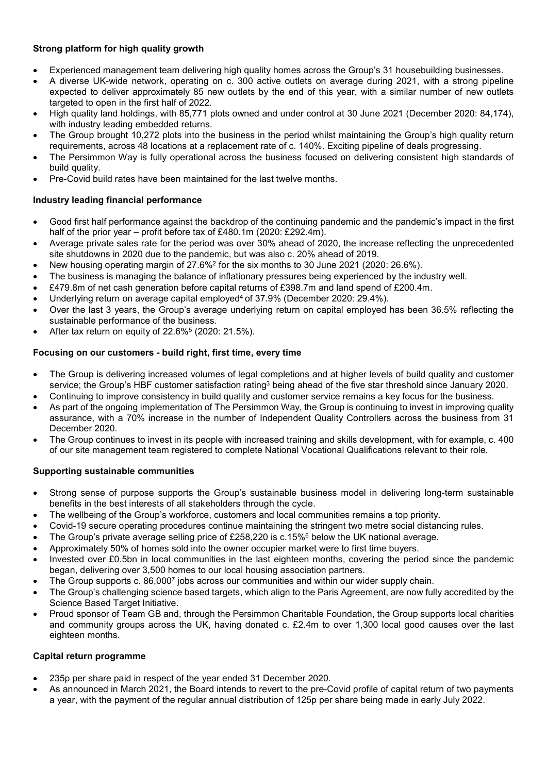# Strong platform for high quality growth

- Experienced management team delivering high quality homes across the Group's 31 housebuilding businesses.
- A diverse UK-wide network, operating on c. 300 active outlets on average during 2021, with a strong pipeline expected to deliver approximately 85 new outlets by the end of this year, with a similar number of new outlets targeted to open in the first half of 2022.
- High quality land holdings, with 85,771 plots owned and under control at 30 June 2021 (December 2020: 84,174), with industry leading embedded returns.
- The Group brought 10,272 plots into the business in the period whilst maintaining the Group's high quality return requirements, across 48 locations at a replacement rate of c. 140%. Exciting pipeline of deals progressing.
- The Persimmon Way is fully operational across the business focused on delivering consistent high standards of build quality.
- Pre-Covid build rates have been maintained for the last twelve months.

# Industry leading financial performance

- Good first half performance against the backdrop of the continuing pandemic and the pandemic's impact in the first half of the prior year – profit before tax of £480.1m (2020: £292.4m).
- Average private sales rate for the period was over 30% ahead of 2020, the increase reflecting the unprecedented site shutdowns in 2020 due to the pandemic, but was also c. 20% ahead of 2019.
- New housing operating margin of 27.6%<sup>2</sup> for the six months to 30 June 2021 (2020: 26.6%).
- The business is managing the balance of inflationary pressures being experienced by the industry well.
- £479.8m of net cash generation before capital returns of £398.7m and land spend of £200.4m.
- Underlying return on average capital employed<sup>4</sup> of 37.9% (December 2020: 29.4%).
- Over the last 3 years, the Group's average underlying return on capital employed has been 36.5% reflecting the sustainable performance of the business.
- After tax return on equity of  $22.6\%$ <sup>5</sup> (2020: 21.5%).

# Focusing on our customers - build right, first time, every time

- The Group is delivering increased volumes of legal completions and at higher levels of build quality and customer service; the Group's HBF customer satisfaction rating<sup>3</sup> being ahead of the five star threshold since January 2020.
- Continuing to improve consistency in build quality and customer service remains a key focus for the business.
- As part of the ongoing implementation of The Persimmon Way, the Group is continuing to invest in improving quality assurance, with a 70% increase in the number of Independent Quality Controllers across the business from 31 December 2020.
- The Group continues to invest in its people with increased training and skills development, with for example, c. 400 of our site management team registered to complete National Vocational Qualifications relevant to their role.

# Supporting sustainable communities

- Strong sense of purpose supports the Group's sustainable business model in delivering long-term sustainable benefits in the best interests of all stakeholders through the cycle.
- The wellbeing of the Group's workforce, customers and local communities remains a top priority.
- Covid-19 secure operating procedures continue maintaining the stringent two metre social distancing rules.
- The Group's private average selling price of £258,220 is c.15%<sup>6</sup> below the UK national average.
- Approximately 50% of homes sold into the owner occupier market were to first time buyers.
- Invested over £0.5bn in local communities in the last eighteen months, covering the period since the pandemic began, delivering over 3,500 homes to our local housing association partners.
- The Group supports c. 86,000<sup>7</sup> jobs across our communities and within our wider supply chain.
- The Group's challenging science based targets, which align to the Paris Agreement, are now fully accredited by the Science Based Target Initiative.
- Proud sponsor of Team GB and, through the Persimmon Charitable Foundation, the Group supports local charities and community groups across the UK, having donated c. £2.4m to over 1,300 local good causes over the last eighteen months.

# Capital return programme

- 235p per share paid in respect of the year ended 31 December 2020.
- As announced in March 2021, the Board intends to revert to the pre-Covid profile of capital return of two payments a year, with the payment of the regular annual distribution of 125p per share being made in early July 2022.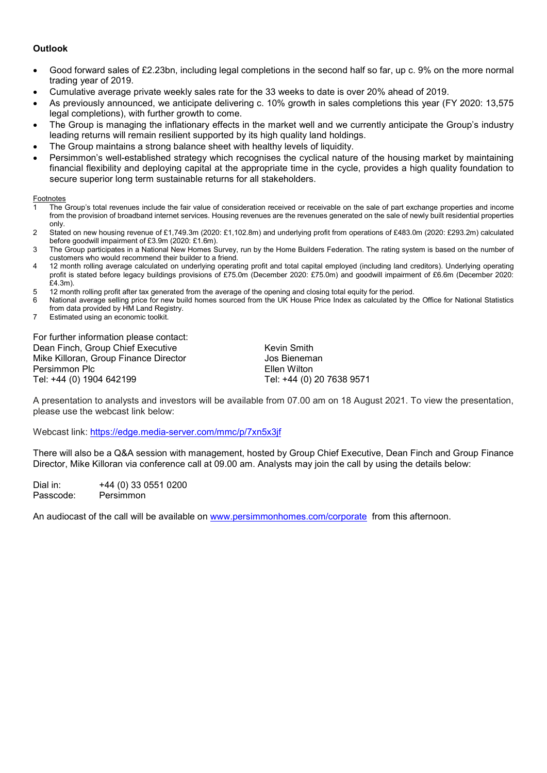# **Outlook**

- Good forward sales of £2.23bn, including legal completions in the second half so far, up c. 9% on the more normal trading year of 2019.
- Cumulative average private weekly sales rate for the 33 weeks to date is over 20% ahead of 2019.
- As previously announced, we anticipate delivering c. 10% growth in sales completions this year (FY 2020: 13,575 legal completions), with further growth to come.
- The Group is managing the inflationary effects in the market well and we currently anticipate the Group's industry leading returns will remain resilient supported by its high quality land holdings.
- The Group maintains a strong balance sheet with healthy levels of liquidity.
- Persimmon's well-established strategy which recognises the cyclical nature of the housing market by maintaining financial flexibility and deploying capital at the appropriate time in the cycle, provides a high quality foundation to secure superior long term sustainable returns for all stakeholders.

#### **Footnotes**

- 1 The Group's total revenues include the fair value of consideration received or receivable on the sale of part exchange properties and income from the provision of broadband internet services. Housing revenues are the revenues generated on the sale of newly built residential properties only.
- 2 Stated on new housing revenue of £1,749.3m (2020: £1,102.8m) and underlying profit from operations of £483.0m (2020: £293.2m) calculated before goodwill impairment of £3.9m (2020: £1.6m).
- 3 The Group participates in a National New Homes Survey, run by the Home Builders Federation. The rating system is based on the number of customers who would recommend their builder to a friend.
- 4 12 month rolling average calculated on underlying operating profit and total capital employed (including land creditors). Underlying operating profit is stated before legacy buildings provisions of £75.0m (December 2020: £75.0m) and goodwill impairment of £6.6m (December 2020: £4.3m).
- 5 12 month rolling profit after tax generated from the average of the opening and closing total equity for the period.
- 6 National average selling price for new build homes sourced from the UK House Price Index as calculated by the Office for National Statistics from data provided by HM Land Registry.
- 7 Estimated using an economic toolkit.

For further information please contact: Dean Finch, Group Chief Executive **Keysing Contract Contract Chief Executive** Kevin Smith Mike Killoran, Group Finance Director **Jos Bieneman** Persimmon Plc **Ellen** Wilton Tel: +44 (0) 1904 642199 Tel: +44 (0) 20 7638 9571

A presentation to analysts and investors will be available from 07.00 am on 18 August 2021. To view the presentation, please use the webcast link below:

Webcast link: https://edge.media-server.com/mmc/p/7xn5x3jf

There will also be a Q&A session with management, hosted by Group Chief Executive, Dean Finch and Group Finance Director, Mike Killoran via conference call at 09.00 am. Analysts may join the call by using the details below:

Dial in: +44 (0) 33 0551 0200 Passcode: Persimmon

An audiocast of the call will be available on www.persimmonhomes.com/corporate from this afternoon.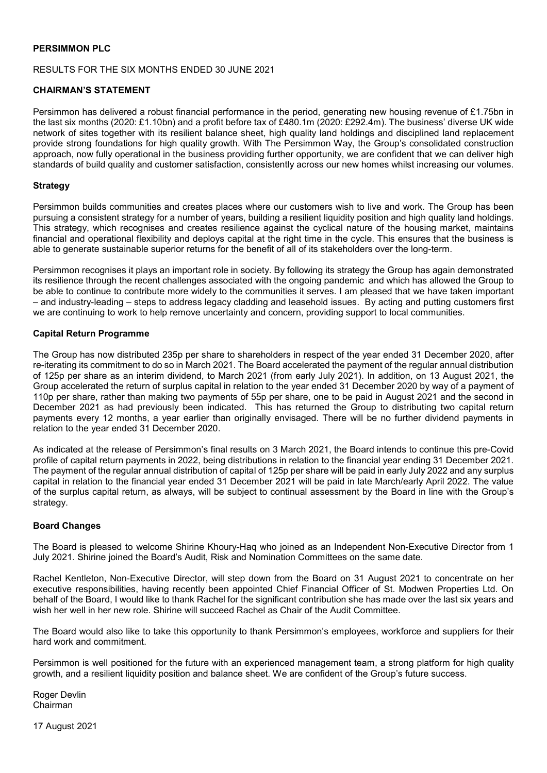# PERSIMMON PLC

#### RESULTS FOR THE SIX MONTHS ENDED 30 JUNE 2021

### CHAIRMAN'S STATEMENT

Persimmon has delivered a robust financial performance in the period, generating new housing revenue of £1.75bn in the last six months (2020: £1.10bn) and a profit before tax of £480.1m (2020: £292.4m). The business' diverse UK wide network of sites together with its resilient balance sheet, high quality land holdings and disciplined land replacement provide strong foundations for high quality growth. With The Persimmon Way, the Group's consolidated construction approach, now fully operational in the business providing further opportunity, we are confident that we can deliver high standards of build quality and customer satisfaction, consistently across our new homes whilst increasing our volumes.

#### **Strategy**

Persimmon builds communities and creates places where our customers wish to live and work. The Group has been pursuing a consistent strategy for a number of years, building a resilient liquidity position and high quality land holdings. This strategy, which recognises and creates resilience against the cyclical nature of the housing market, maintains financial and operational flexibility and deploys capital at the right time in the cycle. This ensures that the business is able to generate sustainable superior returns for the benefit of all of its stakeholders over the long-term.

Persimmon recognises it plays an important role in society. By following its strategy the Group has again demonstrated its resilience through the recent challenges associated with the ongoing pandemic and which has allowed the Group to be able to continue to contribute more widely to the communities it serves. I am pleased that we have taken important – and industry-leading – steps to address legacy cladding and leasehold issues. By acting and putting customers first we are continuing to work to help remove uncertainty and concern, providing support to local communities.

## Capital Return Programme

The Group has now distributed 235p per share to shareholders in respect of the year ended 31 December 2020, after re-iterating its commitment to do so in March 2021. The Board accelerated the payment of the regular annual distribution of 125p per share as an interim dividend, to March 2021 (from early July 2021). In addition, on 13 August 2021, the Group accelerated the return of surplus capital in relation to the year ended 31 December 2020 by way of a payment of 110p per share, rather than making two payments of 55p per share, one to be paid in August 2021 and the second in December 2021 as had previously been indicated. This has returned the Group to distributing two capital return payments every 12 months, a year earlier than originally envisaged. There will be no further dividend payments in relation to the year ended 31 December 2020.

As indicated at the release of Persimmon's final results on 3 March 2021, the Board intends to continue this pre-Covid profile of capital return payments in 2022, being distributions in relation to the financial year ending 31 December 2021. The payment of the regular annual distribution of capital of 125p per share will be paid in early July 2022 and any surplus capital in relation to the financial year ended 31 December 2021 will be paid in late March/early April 2022. The value of the surplus capital return, as always, will be subject to continual assessment by the Board in line with the Group's strategy.

#### Board Changes

The Board is pleased to welcome Shirine Khoury-Haq who joined as an Independent Non-Executive Director from 1 July 2021. Shirine joined the Board's Audit, Risk and Nomination Committees on the same date.

Rachel Kentleton, Non-Executive Director, will step down from the Board on 31 August 2021 to concentrate on her executive responsibilities, having recently been appointed Chief Financial Officer of St. Modwen Properties Ltd. On behalf of the Board, I would like to thank Rachel for the significant contribution she has made over the last six years and wish her well in her new role. Shirine will succeed Rachel as Chair of the Audit Committee.

The Board would also like to take this opportunity to thank Persimmon's employees, workforce and suppliers for their hard work and commitment.

Persimmon is well positioned for the future with an experienced management team, a strong platform for high quality growth, and a resilient liquidity position and balance sheet. We are confident of the Group's future success.

Roger Devlin Chairman

17 August 2021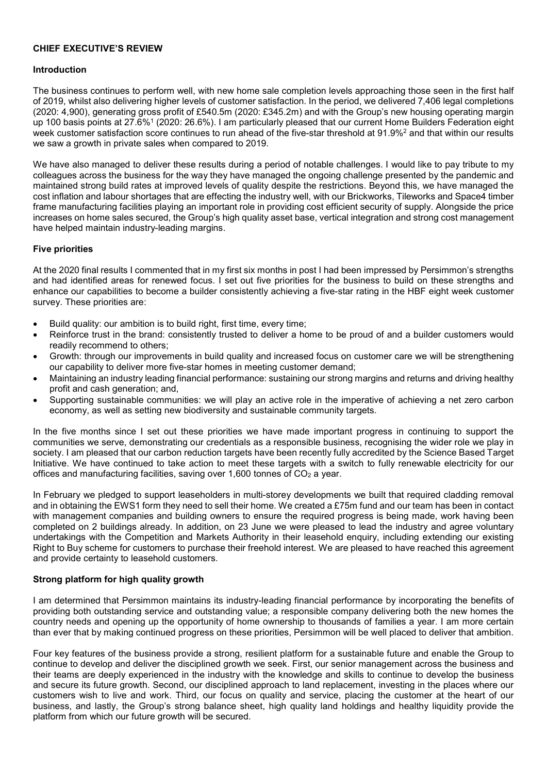#### CHIEF EXECUTIVE'S REVIEW

# Introduction

The business continues to perform well, with new home sale completion levels approaching those seen in the first half of 2019, whilst also delivering higher levels of customer satisfaction. In the period, we delivered 7,406 legal completions (2020: 4,900), generating gross profit of £540.5m (2020: £345.2m) and with the Group's new housing operating margin up 100 basis points at 27.6%<sup>1</sup> (2020: 26.6%). I am particularly pleased that our current Home Builders Federation eight week customer satisfaction score continues to run ahead of the five-star threshold at 91.9% $^2$  and that within our results we saw a growth in private sales when compared to 2019.

We have also managed to deliver these results during a period of notable challenges. I would like to pay tribute to my colleagues across the business for the way they have managed the ongoing challenge presented by the pandemic and maintained strong build rates at improved levels of quality despite the restrictions. Beyond this, we have managed the cost inflation and labour shortages that are effecting the industry well, with our Brickworks, Tileworks and Space4 timber frame manufacturing facilities playing an important role in providing cost efficient security of supply. Alongside the price increases on home sales secured, the Group's high quality asset base, vertical integration and strong cost management have helped maintain industry-leading margins.

## Five priorities

At the 2020 final results I commented that in my first six months in post I had been impressed by Persimmon's strengths and had identified areas for renewed focus. I set out five priorities for the business to build on these strengths and enhance our capabilities to become a builder consistently achieving a five-star rating in the HBF eight week customer survey. These priorities are:

- Build quality: our ambition is to build right, first time, every time;
- Reinforce trust in the brand: consistently trusted to deliver a home to be proud of and a builder customers would readily recommend to others;
- Growth: through our improvements in build quality and increased focus on customer care we will be strengthening our capability to deliver more five-star homes in meeting customer demand;
- Maintaining an industry leading financial performance: sustaining our strong margins and returns and driving healthy profit and cash generation; and,
- Supporting sustainable communities: we will play an active role in the imperative of achieving a net zero carbon economy, as well as setting new biodiversity and sustainable community targets.

In the five months since I set out these priorities we have made important progress in continuing to support the communities we serve, demonstrating our credentials as a responsible business, recognising the wider role we play in society. I am pleased that our carbon reduction targets have been recently fully accredited by the Science Based Target Initiative. We have continued to take action to meet these targets with a switch to fully renewable electricity for our offices and manufacturing facilities, saving over 1,600 tonnes of  $CO<sub>2</sub>$  a year.

In February we pledged to support leaseholders in multi-storey developments we built that required cladding removal and in obtaining the EWS1 form they need to sell their home. We created a £75m fund and our team has been in contact with management companies and building owners to ensure the required progress is being made, work having been completed on 2 buildings already. In addition, on 23 June we were pleased to lead the industry and agree voluntary undertakings with the Competition and Markets Authority in their leasehold enquiry, including extending our existing Right to Buy scheme for customers to purchase their freehold interest. We are pleased to have reached this agreement and provide certainty to leasehold customers.

#### Strong platform for high quality growth

I am determined that Persimmon maintains its industry-leading financial performance by incorporating the benefits of providing both outstanding service and outstanding value; a responsible company delivering both the new homes the country needs and opening up the opportunity of home ownership to thousands of families a year. I am more certain than ever that by making continued progress on these priorities, Persimmon will be well placed to deliver that ambition.

Four key features of the business provide a strong, resilient platform for a sustainable future and enable the Group to continue to develop and deliver the disciplined growth we seek. First, our senior management across the business and their teams are deeply experienced in the industry with the knowledge and skills to continue to develop the business and secure its future growth. Second, our disciplined approach to land replacement, investing in the places where our customers wish to live and work. Third, our focus on quality and service, placing the customer at the heart of our business, and lastly, the Group's strong balance sheet, high quality land holdings and healthy liquidity provide the platform from which our future growth will be secured.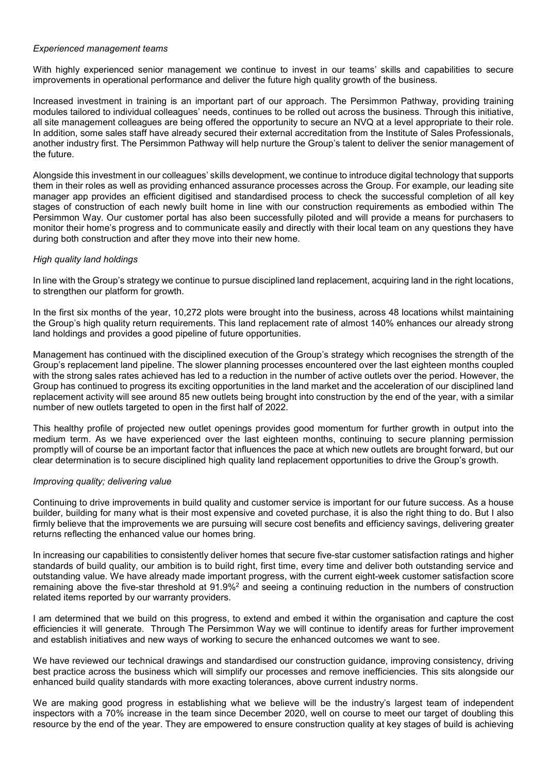#### Experienced management teams

With highly experienced senior management we continue to invest in our teams' skills and capabilities to secure improvements in operational performance and deliver the future high quality growth of the business.

Increased investment in training is an important part of our approach. The Persimmon Pathway, providing training modules tailored to individual colleagues' needs, continues to be rolled out across the business. Through this initiative, all site management colleagues are being offered the opportunity to secure an NVQ at a level appropriate to their role. In addition, some sales staff have already secured their external accreditation from the Institute of Sales Professionals, another industry first. The Persimmon Pathway will help nurture the Group's talent to deliver the senior management of the future.

Alongside this investment in our colleagues' skills development, we continue to introduce digital technology that supports them in their roles as well as providing enhanced assurance processes across the Group. For example, our leading site manager app provides an efficient digitised and standardised process to check the successful completion of all key stages of construction of each newly built home in line with our construction requirements as embodied within The Persimmon Way. Our customer portal has also been successfully piloted and will provide a means for purchasers to monitor their home's progress and to communicate easily and directly with their local team on any questions they have during both construction and after they move into their new home.

# High quality land holdings

In line with the Group's strategy we continue to pursue disciplined land replacement, acquiring land in the right locations, to strengthen our platform for growth.

In the first six months of the year, 10,272 plots were brought into the business, across 48 locations whilst maintaining the Group's high quality return requirements. This land replacement rate of almost 140% enhances our already strong land holdings and provides a good pipeline of future opportunities.

Management has continued with the disciplined execution of the Group's strategy which recognises the strength of the Group's replacement land pipeline. The slower planning processes encountered over the last eighteen months coupled with the strong sales rates achieved has led to a reduction in the number of active outlets over the period. However, the Group has continued to progress its exciting opportunities in the land market and the acceleration of our disciplined land replacement activity will see around 85 new outlets being brought into construction by the end of the year, with a similar number of new outlets targeted to open in the first half of 2022.

This healthy profile of projected new outlet openings provides good momentum for further growth in output into the medium term. As we have experienced over the last eighteen months, continuing to secure planning permission promptly will of course be an important factor that influences the pace at which new outlets are brought forward, but our clear determination is to secure disciplined high quality land replacement opportunities to drive the Group's growth.

# Improving quality; delivering value

Continuing to drive improvements in build quality and customer service is important for our future success. As a house builder, building for many what is their most expensive and coveted purchase, it is also the right thing to do. But I also firmly believe that the improvements we are pursuing will secure cost benefits and efficiency savings, delivering greater returns reflecting the enhanced value our homes bring.

In increasing our capabilities to consistently deliver homes that secure five-star customer satisfaction ratings and higher standards of build quality, our ambition is to build right, first time, every time and deliver both outstanding service and outstanding value. We have already made important progress, with the current eight-week customer satisfaction score remaining above the five-star threshold at 91.9%<sup>2</sup> and seeing a continuing reduction in the numbers of construction related items reported by our warranty providers.

I am determined that we build on this progress, to extend and embed it within the organisation and capture the cost efficiencies it will generate. Through The Persimmon Way we will continue to identify areas for further improvement and establish initiatives and new ways of working to secure the enhanced outcomes we want to see.

We have reviewed our technical drawings and standardised our construction guidance, improving consistency, driving best practice across the business which will simplify our processes and remove inefficiencies. This sits alongside our enhanced build quality standards with more exacting tolerances, above current industry norms.

We are making good progress in establishing what we believe will be the industry's largest team of independent inspectors with a 70% increase in the team since December 2020, well on course to meet our target of doubling this resource by the end of the year. They are empowered to ensure construction quality at key stages of build is achieving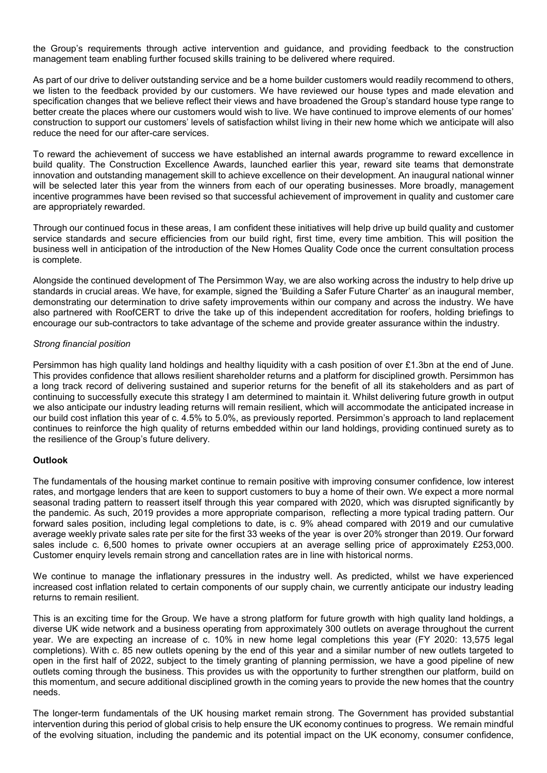the Group's requirements through active intervention and guidance, and providing feedback to the construction management team enabling further focused skills training to be delivered where required.

As part of our drive to deliver outstanding service and be a home builder customers would readily recommend to others, we listen to the feedback provided by our customers. We have reviewed our house types and made elevation and specification changes that we believe reflect their views and have broadened the Group's standard house type range to better create the places where our customers would wish to live. We have continued to improve elements of our homes' construction to support our customers' levels of satisfaction whilst living in their new home which we anticipate will also reduce the need for our after-care services.

To reward the achievement of success we have established an internal awards programme to reward excellence in build quality. The Construction Excellence Awards, launched earlier this year, reward site teams that demonstrate innovation and outstanding management skill to achieve excellence on their development. An inaugural national winner will be selected later this year from the winners from each of our operating businesses. More broadly, management incentive programmes have been revised so that successful achievement of improvement in quality and customer care are appropriately rewarded.

Through our continued focus in these areas, I am confident these initiatives will help drive up build quality and customer service standards and secure efficiencies from our build right, first time, every time ambition. This will position the business well in anticipation of the introduction of the New Homes Quality Code once the current consultation process is complete.

Alongside the continued development of The Persimmon Way, we are also working across the industry to help drive up standards in crucial areas. We have, for example, signed the 'Building a Safer Future Charter' as an inaugural member, demonstrating our determination to drive safety improvements within our company and across the industry. We have also partnered with RoofCERT to drive the take up of this independent accreditation for roofers, holding briefings to encourage our sub-contractors to take advantage of the scheme and provide greater assurance within the industry.

## Strong financial position

Persimmon has high quality land holdings and healthy liquidity with a cash position of over £1.3bn at the end of June. This provides confidence that allows resilient shareholder returns and a platform for disciplined growth. Persimmon has a long track record of delivering sustained and superior returns for the benefit of all its stakeholders and as part of continuing to successfully execute this strategy I am determined to maintain it. Whilst delivering future growth in output we also anticipate our industry leading returns will remain resilient, which will accommodate the anticipated increase in our build cost inflation this year of c. 4.5% to 5.0%, as previously reported. Persimmon's approach to land replacement continues to reinforce the high quality of returns embedded within our land holdings, providing continued surety as to the resilience of the Group's future delivery.

# **Outlook**

The fundamentals of the housing market continue to remain positive with improving consumer confidence, low interest rates, and mortgage lenders that are keen to support customers to buy a home of their own. We expect a more normal seasonal trading pattern to reassert itself through this year compared with 2020, which was disrupted significantly by the pandemic. As such, 2019 provides a more appropriate comparison, reflecting a more typical trading pattern. Our forward sales position, including legal completions to date, is c. 9% ahead compared with 2019 and our cumulative average weekly private sales rate per site for the first 33 weeks of the year is over 20% stronger than 2019. Our forward sales include c. 6,500 homes to private owner occupiers at an average selling price of approximately £253,000. Customer enquiry levels remain strong and cancellation rates are in line with historical norms.

We continue to manage the inflationary pressures in the industry well. As predicted, whilst we have experienced increased cost inflation related to certain components of our supply chain, we currently anticipate our industry leading returns to remain resilient.

This is an exciting time for the Group. We have a strong platform for future growth with high quality land holdings, a diverse UK wide network and a business operating from approximately 300 outlets on average throughout the current year. We are expecting an increase of c. 10% in new home legal completions this year (FY 2020: 13,575 legal completions). With c. 85 new outlets opening by the end of this year and a similar number of new outlets targeted to open in the first half of 2022, subject to the timely granting of planning permission, we have a good pipeline of new outlets coming through the business. This provides us with the opportunity to further strengthen our platform, build on this momentum, and secure additional disciplined growth in the coming years to provide the new homes that the country needs.

The longer-term fundamentals of the UK housing market remain strong. The Government has provided substantial intervention during this period of global crisis to help ensure the UK economy continues to progress. We remain mindful of the evolving situation, including the pandemic and its potential impact on the UK economy, consumer confidence,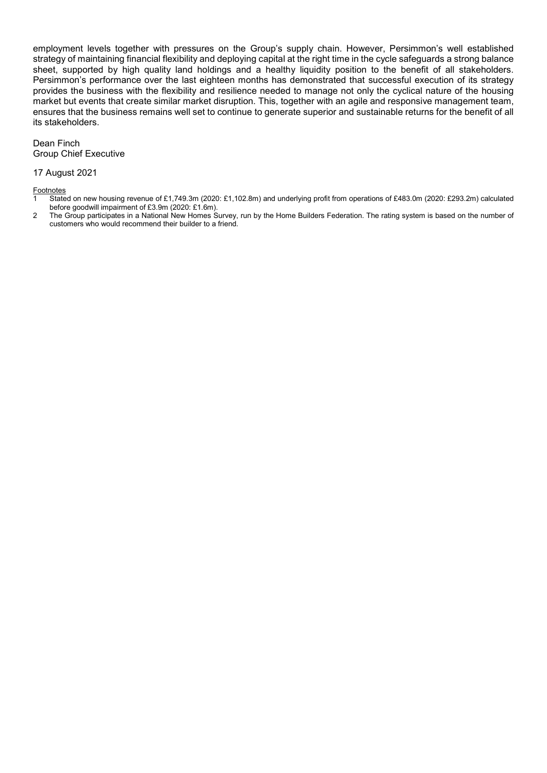employment levels together with pressures on the Group's supply chain. However, Persimmon's well established strategy of maintaining financial flexibility and deploying capital at the right time in the cycle safeguards a strong balance sheet, supported by high quality land holdings and a healthy liquidity position to the benefit of all stakeholders. Persimmon's performance over the last eighteen months has demonstrated that successful execution of its strategy provides the business with the flexibility and resilience needed to manage not only the cyclical nature of the housing market but events that create similar market disruption. This, together with an agile and responsive management team, ensures that the business remains well set to continue to generate superior and sustainable returns for the benefit of all its stakeholders.

#### Dean Finch Group Chief Executive

#### 17 August 2021

Footnotes

- 1 Stated on new housing revenue of £1,749.3m (2020: £1,102.8m) and underlying profit from operations of £483.0m (2020: £293.2m) calculated before goodwill impairment of £3.9m (2020: £1.6m).
- 2 The Group participates in a National New Homes Survey, run by the Home Builders Federation. The rating system is based on the number of customers who would recommend their builder to a friend.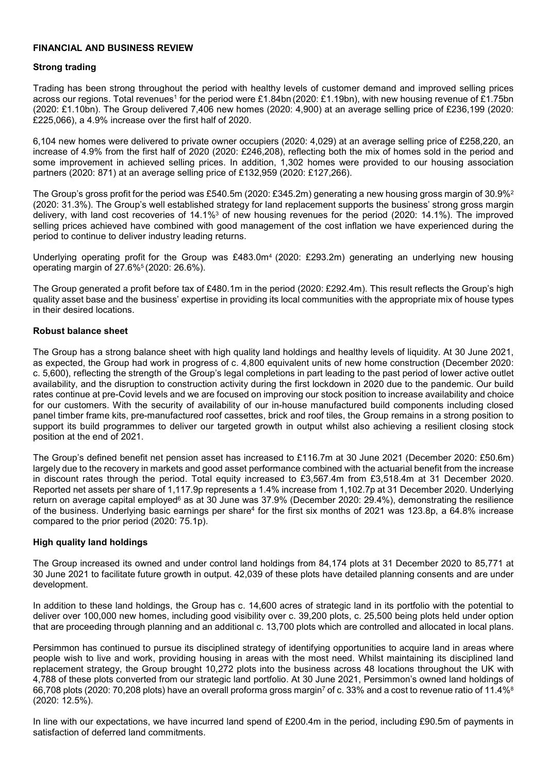#### FINANCIAL AND BUSINESS REVIEW

#### Strong trading

Trading has been strong throughout the period with healthy levels of customer demand and improved selling prices across our regions. Total revenues<sup>1</sup> for the period were £1.84bn (2020: £1.19bn), with new housing revenue of £1.75bn (2020: £1.10bn). The Group delivered 7,406 new homes (2020: 4,900) at an average selling price of £236,199 (2020: £225,066), a 4.9% increase over the first half of 2020.

6,104 new homes were delivered to private owner occupiers (2020: 4,029) at an average selling price of £258,220, an increase of 4.9% from the first half of 2020 (2020: £246,208), reflecting both the mix of homes sold in the period and some improvement in achieved selling prices. In addition, 1,302 homes were provided to our housing association partners (2020: 871) at an average selling price of £132,959 (2020: £127,266).

The Group's gross profit for the period was £540.5m (2020: £345.2m) generating a new housing gross margin of 30.9%<sup>2</sup> (2020: 31.3%). The Group's well established strategy for land replacement supports the business' strong gross margin delivery, with land cost recoveries of 14.1%<sup>3</sup> of new housing revenues for the period (2020: 14.1%). The improved selling prices achieved have combined with good management of the cost inflation we have experienced during the period to continue to deliver industry leading returns.

Underlying operating profit for the Group was £483.0m<sup>4</sup> (2020: £293.2m) generating an underlying new housing operating margin of 27.6%5 (2020: 26.6%).

The Group generated a profit before tax of £480.1m in the period (2020: £292.4m). This result reflects the Group's high quality asset base and the business' expertise in providing its local communities with the appropriate mix of house types in their desired locations.

#### Robust balance sheet

The Group has a strong balance sheet with high quality land holdings and healthy levels of liquidity. At 30 June 2021, as expected, the Group had work in progress of c. 4,800 equivalent units of new home construction (December 2020: c. 5,600), reflecting the strength of the Group's legal completions in part leading to the past period of lower active outlet availability, and the disruption to construction activity during the first lockdown in 2020 due to the pandemic. Our build rates continue at pre-Covid levels and we are focused on improving our stock position to increase availability and choice for our customers. With the security of availability of our in-house manufactured build components including closed panel timber frame kits, pre-manufactured roof cassettes, brick and roof tiles, the Group remains in a strong position to support its build programmes to deliver our targeted growth in output whilst also achieving a resilient closing stock position at the end of 2021.

The Group's defined benefit net pension asset has increased to £116.7m at 30 June 2021 (December 2020: £50.6m) largely due to the recovery in markets and good asset performance combined with the actuarial benefit from the increase in discount rates through the period. Total equity increased to £3,567.4m from £3,518.4m at 31 December 2020. Reported net assets per share of 1,117.9p represents a 1.4% increase from 1,102.7p at 31 December 2020. Underlying return on average capital employed<sup>6</sup> as at 30 June was 37.9% (December 2020: 29.4%), demonstrating the resilience of the business. Underlying basic earnings per share<sup>4</sup> for the first six months of 2021 was 123.8p, a 64.8% increase compared to the prior period (2020: 75.1p).

#### High quality land holdings

The Group increased its owned and under control land holdings from 84,174 plots at 31 December 2020 to 85,771 at 30 June 2021 to facilitate future growth in output. 42,039 of these plots have detailed planning consents and are under development.

In addition to these land holdings, the Group has c. 14,600 acres of strategic land in its portfolio with the potential to deliver over 100,000 new homes, including good visibility over c. 39,200 plots, c. 25,500 being plots held under option that are proceeding through planning and an additional c. 13,700 plots which are controlled and allocated in local plans.

Persimmon has continued to pursue its disciplined strategy of identifying opportunities to acquire land in areas where people wish to live and work, providing housing in areas with the most need. Whilst maintaining its disciplined land replacement strategy, the Group brought 10,272 plots into the business across 48 locations throughout the UK with 4,788 of these plots converted from our strategic land portfolio. At 30 June 2021, Persimmon's owned land holdings of 66,708 plots (2020: 70,208 plots) have an overall proforma gross margin<sup>7</sup> of c. 33% and a cost to revenue ratio of 11.4%<sup>8</sup> (2020: 12.5%).

In line with our expectations, we have incurred land spend of £200.4m in the period, including £90.5m of payments in satisfaction of deferred land commitments.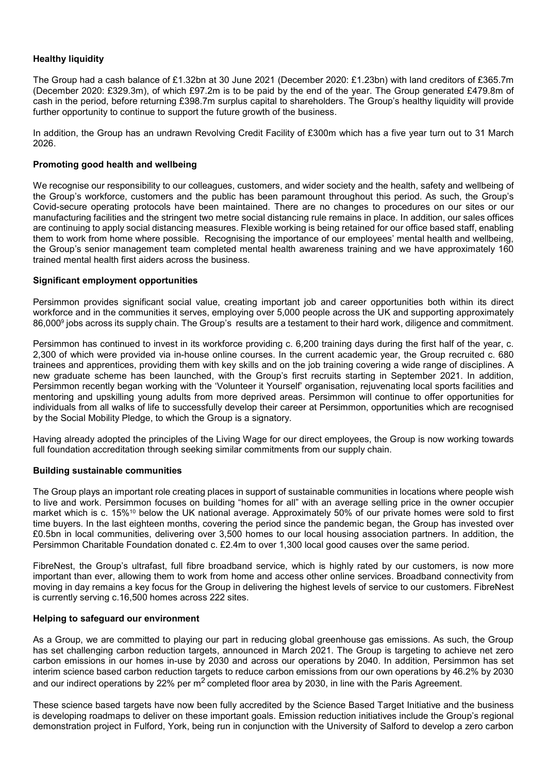# **Healthy liquidity**

The Group had a cash balance of £1.32bn at 30 June 2021 (December 2020: £1.23bn) with land creditors of £365.7m (December 2020: £329.3m), of which £97.2m is to be paid by the end of the year. The Group generated £479.8m of cash in the period, before returning £398.7m surplus capital to shareholders. The Group's healthy liquidity will provide further opportunity to continue to support the future growth of the business.

In addition, the Group has an undrawn Revolving Credit Facility of £300m which has a five year turn out to 31 March 2026.

#### Promoting good health and wellbeing

We recognise our responsibility to our colleagues, customers, and wider society and the health, safety and wellbeing of the Group's workforce, customers and the public has been paramount throughout this period. As such, the Group's Covid-secure operating protocols have been maintained. There are no changes to procedures on our sites or our manufacturing facilities and the stringent two metre social distancing rule remains in place. In addition, our sales offices are continuing to apply social distancing measures. Flexible working is being retained for our office based staff, enabling them to work from home where possible. Recognising the importance of our employees' mental health and wellbeing, the Group's senior management team completed mental health awareness training and we have approximately 160 trained mental health first aiders across the business.

#### Significant employment opportunities

Persimmon provides significant social value, creating important job and career opportunities both within its direct workforce and in the communities it serves, employing over 5,000 people across the UK and supporting approximately 86,000<sup>9</sup> jobs across its supply chain. The Group's results are a testament to their hard work, diligence and commitment.

Persimmon has continued to invest in its workforce providing c. 6,200 training days during the first half of the year, c. 2,300 of which were provided via in-house online courses. In the current academic year, the Group recruited c. 680 trainees and apprentices, providing them with key skills and on the job training covering a wide range of disciplines. A new graduate scheme has been launched, with the Group's first recruits starting in September 2021. In addition, Persimmon recently began working with the 'Volunteer it Yourself' organisation, rejuvenating local sports facilities and mentoring and upskilling young adults from more deprived areas. Persimmon will continue to offer opportunities for individuals from all walks of life to successfully develop their career at Persimmon, opportunities which are recognised by the Social Mobility Pledge, to which the Group is a signatory.

Having already adopted the principles of the Living Wage for our direct employees, the Group is now working towards full foundation accreditation through seeking similar commitments from our supply chain.

#### Building sustainable communities

The Group plays an important role creating places in support of sustainable communities in locations where people wish to live and work. Persimmon focuses on building "homes for all" with an average selling price in the owner occupier market which is c. 15%10 below the UK national average. Approximately 50% of our private homes were sold to first time buyers. In the last eighteen months, covering the period since the pandemic began, the Group has invested over £0.5bn in local communities, delivering over 3,500 homes to our local housing association partners. In addition, the Persimmon Charitable Foundation donated c. £2.4m to over 1,300 local good causes over the same period.

FibreNest, the Group's ultrafast, full fibre broadband service, which is highly rated by our customers, is now more important than ever, allowing them to work from home and access other online services. Broadband connectivity from moving in day remains a key focus for the Group in delivering the highest levels of service to our customers. FibreNest is currently serving c.16,500 homes across 222 sites.

#### Helping to safeguard our environment

As a Group, we are committed to playing our part in reducing global greenhouse gas emissions. As such, the Group has set challenging carbon reduction targets, announced in March 2021. The Group is targeting to achieve net zero carbon emissions in our homes in-use by 2030 and across our operations by 2040. In addition, Persimmon has set interim science based carbon reduction targets to reduce carbon emissions from our own operations by 46.2% by 2030 and our indirect operations by 22% per  $m^2$  completed floor area by 2030, in line with the Paris Agreement.

These science based targets have now been fully accredited by the Science Based Target Initiative and the business is developing roadmaps to deliver on these important goals. Emission reduction initiatives include the Group's regional demonstration project in Fulford, York, being run in conjunction with the University of Salford to develop a zero carbon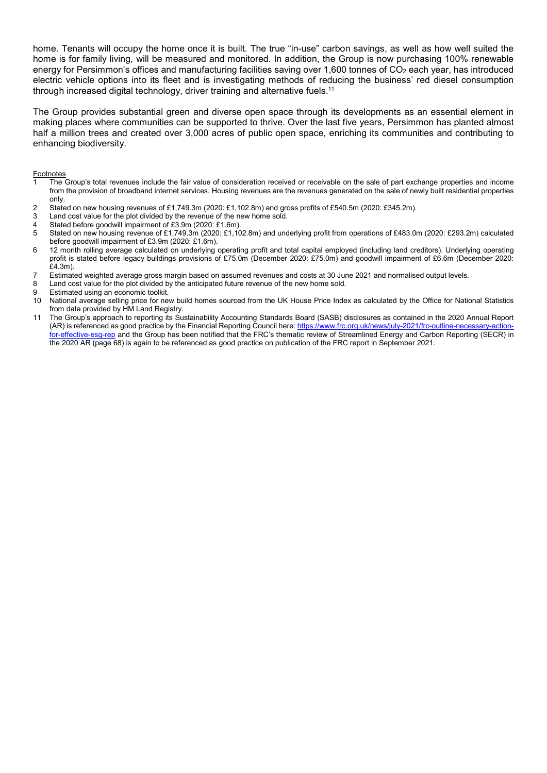home. Tenants will occupy the home once it is built. The true "in-use" carbon savings, as well as how well suited the home is for family living, will be measured and monitored. In addition, the Group is now purchasing 100% renewable energy for Persimmon's offices and manufacturing facilities saving over 1,600 tonnes of CO<sub>2</sub> each year, has introduced electric vehicle options into its fleet and is investigating methods of reducing the business' red diesel consumption through increased digital technology, driver training and alternative fuels.<sup>11</sup>

The Group provides substantial green and diverse open space through its developments as an essential element in making places where communities can be supported to thrive. Over the last five years, Persimmon has planted almost half a million trees and created over 3,000 acres of public open space, enriching its communities and contributing to enhancing biodiversity.

**Footnotes** 

- The Group's total revenues include the fair value of consideration received or receivable on the sale of part exchange properties and income from the provision of broadband internet services. Housing revenues are the revenues generated on the sale of newly built residential properties only.
- 2 Stated on new housing revenues of £1,749.3m (2020: £1,102.8m) and gross profits of £540.5m (2020: £345.2m).
- 3 Land cost value for the plot divided by the revenue of the new home sold.
- 4 Stated before goodwill impairment of £3.9m (2020: £1.6m).<br>5 Stated on new bousing revenue of £1.749.3m (2020: £1.10
- 5 Stated on new housing revenue of £1,749.3m (2020: £1,102.8m) and underlying profit from operations of £483.0m (2020: £293.2m) calculated before goodwill impairment of £3.9m (2020: £1.6m).
- 6 12 month rolling average calculated on underlying operating profit and total capital employed (including land creditors). Underlying operating profit is stated before legacy buildings provisions of £75.0m (December 2020: £75.0m) and goodwill impairment of £6.6m (December 2020: £4.3m).
- 7 Estimated weighted average gross margin based on assumed revenues and costs at 30 June 2021 and normalised output levels.
- 8 Land cost value for the plot divided by the anticipated future revenue of the new home sold.
- 9 Estimated using an economic toolkit.
- 10 National average selling price for new build homes sourced from the UK House Price Index as calculated by the Office for National Statistics from data provided by HM Land Registry.
- 11 The Group's approach to reporting its Sustainability Accounting Standards Board (SASB) disclosures as contained in the 2020 Annual Report (AR) is referenced as good practice by the Financial Reporting Council here: https://www.frc.org.uk/news/july-2021/frc-outline-necessary-actionfor-effective-esg-rep and the Group has been notified that the FRC's thematic review of Streamlined Energy and Carbon Reporting (SECR) in the 2020 AR (page 68) is again to be referenced as good practice on publication of the FRC report in September 2021.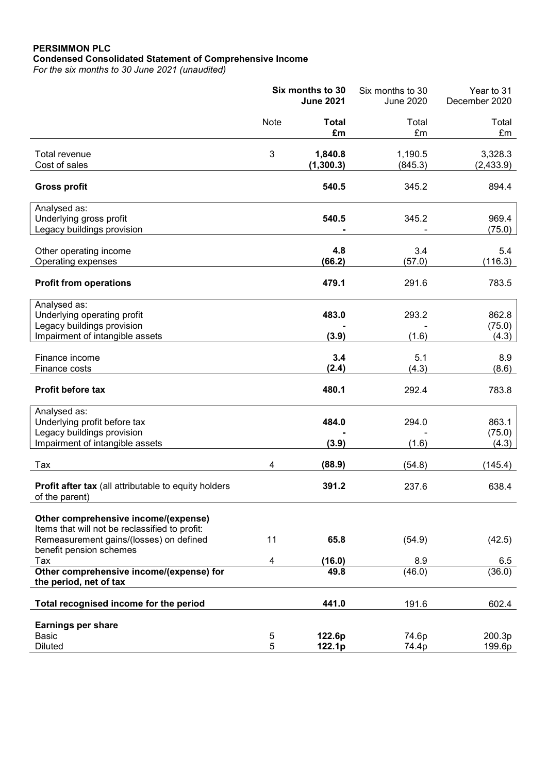# PERSIMMON PLC Condensed Consolidated Statement of Comprehensive Income

For the six months to 30 June 2021 (unaudited)

|                                                                                                                                                                     | Six months to 30<br><b>June 2021</b> |                       | Six months to 30<br>June 2020 | Year to 31<br>December 2020 |
|---------------------------------------------------------------------------------------------------------------------------------------------------------------------|--------------------------------------|-----------------------|-------------------------------|-----------------------------|
|                                                                                                                                                                     | Note                                 | <b>Total</b><br>£m    | Total<br>£m                   | Total<br>£m                 |
| Total revenue<br>Cost of sales                                                                                                                                      | 3                                    | 1,840.8<br>(1, 300.3) | 1,190.5<br>(845.3)            | 3,328.3<br>(2,433.9)        |
| <b>Gross profit</b>                                                                                                                                                 |                                      | 540.5                 | 345.2                         | 894.4                       |
| Analysed as:<br>Underlying gross profit<br>Legacy buildings provision                                                                                               |                                      | 540.5                 | 345.2                         | 969.4<br>(75.0)             |
| Other operating income<br>Operating expenses                                                                                                                        |                                      | 4.8<br>(66.2)         | 3.4<br>(57.0)                 | 5.4<br>(116.3)              |
| <b>Profit from operations</b>                                                                                                                                       |                                      | 479.1                 | 291.6                         | 783.5                       |
| Analysed as:<br>Underlying operating profit<br>Legacy buildings provision<br>Impairment of intangible assets                                                        |                                      | 483.0<br>(3.9)        | 293.2<br>(1.6)                | 862.8<br>(75.0)<br>(4.3)    |
| Finance income<br>Finance costs                                                                                                                                     |                                      | 3.4<br>(2.4)          | 5.1<br>(4.3)                  | 8.9<br>(8.6)                |
| <b>Profit before tax</b>                                                                                                                                            |                                      | 480.1                 | 292.4                         | 783.8                       |
| Analysed as:<br>Underlying profit before tax<br>Legacy buildings provision<br>Impairment of intangible assets                                                       |                                      | 484.0<br>(3.9)        | 294.0<br>(1.6)                | 863.1<br>(75.0)             |
| Tax                                                                                                                                                                 | 4                                    | (88.9)                | (54.8)                        | (4.3)<br>(145.4)            |
| Profit after tax (all attributable to equity holders<br>of the parent)                                                                                              |                                      | 391.2                 | 237.6                         | 638.4                       |
| Other comprehensive income/(expense)<br>Items that will not be reclassified to profit:<br>Remeasurement gains/(losses) on defined<br>benefit pension schemes<br>Tax | 11<br>4                              | 65.8<br>(16.0)        | (54.9)<br>8.9                 | (42.5)<br>6.5               |
| Other comprehensive income/(expense) for                                                                                                                            |                                      | 49.8                  | (46.0)                        | (36.0)                      |
| the period, net of tax                                                                                                                                              |                                      |                       |                               |                             |
| Total recognised income for the period                                                                                                                              |                                      | 441.0                 | 191.6                         | 602.4                       |
| <b>Earnings per share</b><br><b>Basic</b><br><b>Diluted</b>                                                                                                         | $\mathbf 5$<br>5                     | 122.6p<br>122.1p      | 74.6p<br>74.4p                | 200.3p<br>199.6p            |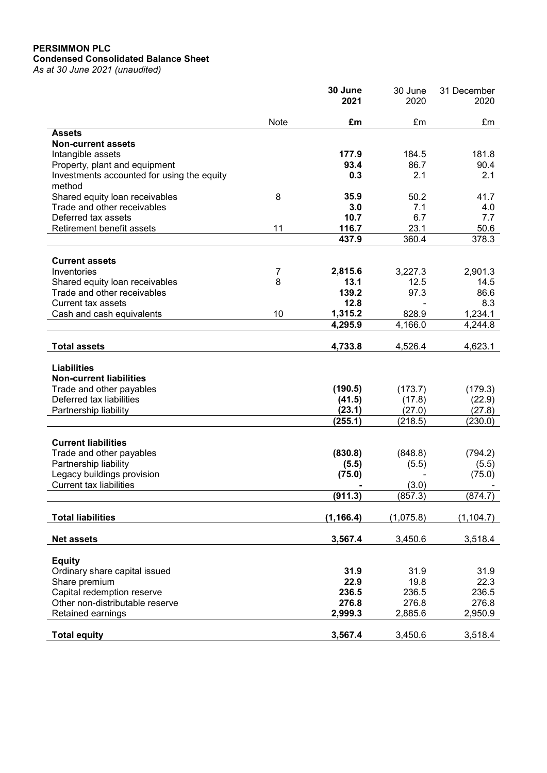# PERSIMMON PLC Condensed Consolidated Balance Sheet

As at 30 June 2021 (unaudited)

|                                                                                                                                       |      | 30 June<br>2021             | 30 June<br>2020             | 31 December<br>2020         |
|---------------------------------------------------------------------------------------------------------------------------------------|------|-----------------------------|-----------------------------|-----------------------------|
|                                                                                                                                       | Note | £m                          | £m                          | £m                          |
| <b>Assets</b>                                                                                                                         |      |                             |                             |                             |
| <b>Non-current assets</b>                                                                                                             |      |                             |                             |                             |
| Intangible assets                                                                                                                     |      | 177.9                       | 184.5                       | 181.8                       |
| Property, plant and equipment                                                                                                         |      | 93.4                        | 86.7                        | 90.4                        |
| Investments accounted for using the equity                                                                                            |      | 0.3                         | 2.1                         | 2.1                         |
| method                                                                                                                                |      |                             |                             |                             |
| Shared equity loan receivables                                                                                                        | 8    | 35.9                        | 50.2                        | 41.7                        |
| Trade and other receivables                                                                                                           |      | 3.0                         | 7.1                         | 4.0                         |
| Deferred tax assets                                                                                                                   |      | 10.7                        | 6.7                         | 7.7                         |
| Retirement benefit assets                                                                                                             | 11   | 116.7                       | 23.1                        | 50.6                        |
|                                                                                                                                       |      | 437.9                       | 360.4                       | 378.3                       |
| <b>Current assets</b>                                                                                                                 |      |                             |                             |                             |
| Inventories                                                                                                                           | 7    | 2,815.6                     | 3,227.3                     | 2,901.3                     |
| Shared equity loan receivables                                                                                                        | 8    | 13.1                        | 12.5                        | 14.5                        |
| Trade and other receivables                                                                                                           |      | 139.2                       | 97.3                        | 86.6                        |
| <b>Current tax assets</b>                                                                                                             |      | 12.8                        |                             | 8.3                         |
| Cash and cash equivalents                                                                                                             | 10   | 1,315.2                     | 828.9                       | 1,234.1                     |
|                                                                                                                                       |      | 4,295.9                     | 4,166.0                     | 4,244.8                     |
|                                                                                                                                       |      |                             |                             |                             |
| <b>Total assets</b>                                                                                                                   |      | 4,733.8                     | 4,526.4                     | 4,623.1                     |
| <b>Liabilities</b><br><b>Non-current liabilities</b><br>Trade and other payables<br>Deferred tax liabilities<br>Partnership liability |      | (190.5)<br>(41.5)<br>(23.1) | (173.7)<br>(17.8)<br>(27.0) | (179.3)<br>(22.9)<br>(27.8) |
|                                                                                                                                       |      | (255.1)                     | (218.5)                     | (230.0)                     |
|                                                                                                                                       |      |                             |                             |                             |
| <b>Current liabilities</b>                                                                                                            |      |                             |                             |                             |
| Trade and other payables                                                                                                              |      | (830.8)                     | (848.8)                     | (794.2)                     |
| Partnership liability                                                                                                                 |      | (5.5)                       | (5.5)                       | (5.5)                       |
| Legacy buildings provision                                                                                                            |      | (75.0)                      |                             | (75.0)                      |
| <b>Current tax liabilities</b>                                                                                                        |      |                             | (3.0)                       |                             |
|                                                                                                                                       |      | (911.3)                     | (857.3)                     | (874.7)                     |
| <b>Total liabilities</b>                                                                                                              |      | (1, 166.4)                  | (1,075.8)                   | (1, 104.7)                  |
|                                                                                                                                       |      |                             |                             |                             |
| <b>Net assets</b>                                                                                                                     |      | 3,567.4                     | 3,450.6                     | 3,518.4                     |
| <b>Equity</b>                                                                                                                         |      |                             |                             |                             |
| Ordinary share capital issued                                                                                                         |      | 31.9                        | 31.9                        | 31.9                        |
| Share premium                                                                                                                         |      | 22.9                        | 19.8                        | 22.3                        |
| Capital redemption reserve                                                                                                            |      | 236.5                       | 236.5                       | 236.5                       |
| Other non-distributable reserve                                                                                                       |      | 276.8                       | 276.8                       | 276.8                       |
| Retained earnings                                                                                                                     |      | 2,999.3                     | 2,885.6                     | 2,950.9                     |
|                                                                                                                                       |      |                             |                             |                             |
| <b>Total equity</b>                                                                                                                   |      | 3,567.4                     | 3,450.6                     | 3,518.4                     |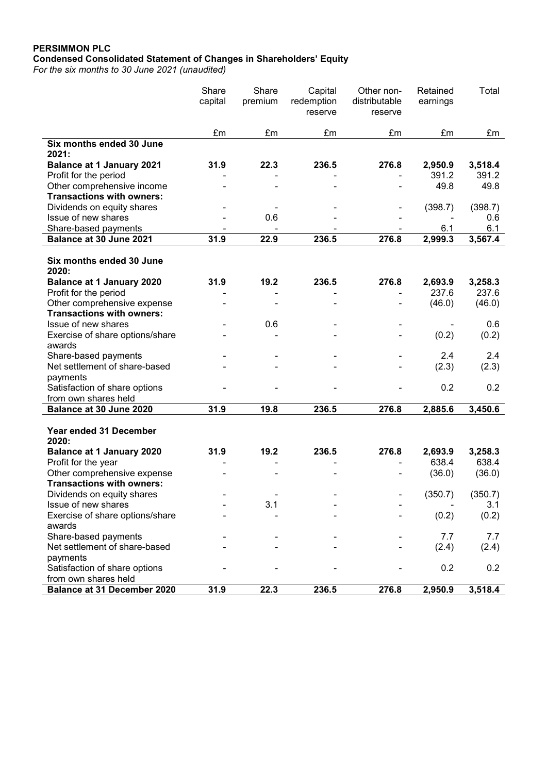# PERSIMMON PLC Condensed Consolidated Statement of Changes in Shareholders' Equity

For the six months to 30 June 2021 (unaudited)

| £m<br>£m<br>£m<br>£m<br>£m<br>£m<br>Six months ended 30 June<br>2021:<br>22.3<br>236.5<br>276.8<br>31.9<br>2,950.9<br>3,518.4<br><b>Balance at 1 January 2021</b><br>391.2<br>391.2<br>Profit for the period<br>Other comprehensive income<br>49.8<br>49.8<br><b>Transactions with owners:</b><br>Dividends on equity shares<br>(398.7)<br>(398.7)<br>Issue of new shares<br>0.6<br>0.6<br>Share-based payments<br>6.1<br>6.1<br>2,999.3<br>Balance at 30 June 2021<br>31.9<br>22.9<br>236.5<br>276.8<br>3,567.4<br>Six months ended 30 June<br>2020:<br><b>Balance at 1 January 2020</b><br>19.2<br>236.5<br>276.8<br>31.9<br>2,693.9<br>3,258.3<br>237.6<br>237.6<br>Profit for the period<br>Other comprehensive expense<br>(46.0)<br>(46.0)<br><b>Transactions with owners:</b><br>Issue of new shares<br>0.6<br>0.6<br>(0.2)<br>Exercise of share options/share<br>(0.2)<br>awards<br>2.4<br>2.4<br>Share-based payments<br>Net settlement of share-based<br>(2.3)<br>(2.3)<br>payments<br>0.2<br>0.2<br>Satisfaction of share options<br>from own shares held<br>Balance at 30 June 2020<br>31.9<br>19.8<br>236.5<br>276.8<br>2,885.6<br>3,450.6<br>Year ended 31 December<br>2020:<br><b>Balance at 1 January 2020</b><br>31.9<br>19.2<br>236.5<br>276.8<br>2,693.9<br>3,258.3<br>638.4<br>638.4<br>Profit for the year<br>Other comprehensive expense<br>(36.0)<br>(36.0)<br><b>Transactions with owners:</b><br>(350.7)<br>(350.7)<br>Dividends on equity shares<br>3.1<br>Issue of new shares<br>3.1<br>Exercise of share options/share<br>(0.2)<br>(0.2)<br>awards<br>Share-based payments<br>7.7<br>7.7<br>Net settlement of share-based<br>(2.4)<br>(2.4)<br>payments<br>0.2<br>0.2<br>Satisfaction of share options<br>from own shares held |                                    | Share<br>capital | Share<br>premium | Capital<br>redemption<br>reserve | Other non-<br>distributable<br>reserve | Retained<br>earnings | Total   |
|-----------------------------------------------------------------------------------------------------------------------------------------------------------------------------------------------------------------------------------------------------------------------------------------------------------------------------------------------------------------------------------------------------------------------------------------------------------------------------------------------------------------------------------------------------------------------------------------------------------------------------------------------------------------------------------------------------------------------------------------------------------------------------------------------------------------------------------------------------------------------------------------------------------------------------------------------------------------------------------------------------------------------------------------------------------------------------------------------------------------------------------------------------------------------------------------------------------------------------------------------------------------------------------------------------------------------------------------------------------------------------------------------------------------------------------------------------------------------------------------------------------------------------------------------------------------------------------------------------------------------------------------------------------------------------------------------------------------------------------------------------------|------------------------------------|------------------|------------------|----------------------------------|----------------------------------------|----------------------|---------|
|                                                                                                                                                                                                                                                                                                                                                                                                                                                                                                                                                                                                                                                                                                                                                                                                                                                                                                                                                                                                                                                                                                                                                                                                                                                                                                                                                                                                                                                                                                                                                                                                                                                                                                                                                           |                                    |                  |                  |                                  |                                        |                      |         |
|                                                                                                                                                                                                                                                                                                                                                                                                                                                                                                                                                                                                                                                                                                                                                                                                                                                                                                                                                                                                                                                                                                                                                                                                                                                                                                                                                                                                                                                                                                                                                                                                                                                                                                                                                           |                                    |                  |                  |                                  |                                        |                      |         |
|                                                                                                                                                                                                                                                                                                                                                                                                                                                                                                                                                                                                                                                                                                                                                                                                                                                                                                                                                                                                                                                                                                                                                                                                                                                                                                                                                                                                                                                                                                                                                                                                                                                                                                                                                           |                                    |                  |                  |                                  |                                        |                      |         |
|                                                                                                                                                                                                                                                                                                                                                                                                                                                                                                                                                                                                                                                                                                                                                                                                                                                                                                                                                                                                                                                                                                                                                                                                                                                                                                                                                                                                                                                                                                                                                                                                                                                                                                                                                           |                                    |                  |                  |                                  |                                        |                      |         |
|                                                                                                                                                                                                                                                                                                                                                                                                                                                                                                                                                                                                                                                                                                                                                                                                                                                                                                                                                                                                                                                                                                                                                                                                                                                                                                                                                                                                                                                                                                                                                                                                                                                                                                                                                           |                                    |                  |                  |                                  |                                        |                      |         |
|                                                                                                                                                                                                                                                                                                                                                                                                                                                                                                                                                                                                                                                                                                                                                                                                                                                                                                                                                                                                                                                                                                                                                                                                                                                                                                                                                                                                                                                                                                                                                                                                                                                                                                                                                           |                                    |                  |                  |                                  |                                        |                      |         |
|                                                                                                                                                                                                                                                                                                                                                                                                                                                                                                                                                                                                                                                                                                                                                                                                                                                                                                                                                                                                                                                                                                                                                                                                                                                                                                                                                                                                                                                                                                                                                                                                                                                                                                                                                           |                                    |                  |                  |                                  |                                        |                      |         |
|                                                                                                                                                                                                                                                                                                                                                                                                                                                                                                                                                                                                                                                                                                                                                                                                                                                                                                                                                                                                                                                                                                                                                                                                                                                                                                                                                                                                                                                                                                                                                                                                                                                                                                                                                           |                                    |                  |                  |                                  |                                        |                      |         |
|                                                                                                                                                                                                                                                                                                                                                                                                                                                                                                                                                                                                                                                                                                                                                                                                                                                                                                                                                                                                                                                                                                                                                                                                                                                                                                                                                                                                                                                                                                                                                                                                                                                                                                                                                           |                                    |                  |                  |                                  |                                        |                      |         |
|                                                                                                                                                                                                                                                                                                                                                                                                                                                                                                                                                                                                                                                                                                                                                                                                                                                                                                                                                                                                                                                                                                                                                                                                                                                                                                                                                                                                                                                                                                                                                                                                                                                                                                                                                           |                                    |                  |                  |                                  |                                        |                      |         |
|                                                                                                                                                                                                                                                                                                                                                                                                                                                                                                                                                                                                                                                                                                                                                                                                                                                                                                                                                                                                                                                                                                                                                                                                                                                                                                                                                                                                                                                                                                                                                                                                                                                                                                                                                           |                                    |                  |                  |                                  |                                        |                      |         |
|                                                                                                                                                                                                                                                                                                                                                                                                                                                                                                                                                                                                                                                                                                                                                                                                                                                                                                                                                                                                                                                                                                                                                                                                                                                                                                                                                                                                                                                                                                                                                                                                                                                                                                                                                           |                                    |                  |                  |                                  |                                        |                      |         |
|                                                                                                                                                                                                                                                                                                                                                                                                                                                                                                                                                                                                                                                                                                                                                                                                                                                                                                                                                                                                                                                                                                                                                                                                                                                                                                                                                                                                                                                                                                                                                                                                                                                                                                                                                           |                                    |                  |                  |                                  |                                        |                      |         |
|                                                                                                                                                                                                                                                                                                                                                                                                                                                                                                                                                                                                                                                                                                                                                                                                                                                                                                                                                                                                                                                                                                                                                                                                                                                                                                                                                                                                                                                                                                                                                                                                                                                                                                                                                           |                                    |                  |                  |                                  |                                        |                      |         |
|                                                                                                                                                                                                                                                                                                                                                                                                                                                                                                                                                                                                                                                                                                                                                                                                                                                                                                                                                                                                                                                                                                                                                                                                                                                                                                                                                                                                                                                                                                                                                                                                                                                                                                                                                           |                                    |                  |                  |                                  |                                        |                      |         |
|                                                                                                                                                                                                                                                                                                                                                                                                                                                                                                                                                                                                                                                                                                                                                                                                                                                                                                                                                                                                                                                                                                                                                                                                                                                                                                                                                                                                                                                                                                                                                                                                                                                                                                                                                           |                                    |                  |                  |                                  |                                        |                      |         |
|                                                                                                                                                                                                                                                                                                                                                                                                                                                                                                                                                                                                                                                                                                                                                                                                                                                                                                                                                                                                                                                                                                                                                                                                                                                                                                                                                                                                                                                                                                                                                                                                                                                                                                                                                           |                                    |                  |                  |                                  |                                        |                      |         |
|                                                                                                                                                                                                                                                                                                                                                                                                                                                                                                                                                                                                                                                                                                                                                                                                                                                                                                                                                                                                                                                                                                                                                                                                                                                                                                                                                                                                                                                                                                                                                                                                                                                                                                                                                           |                                    |                  |                  |                                  |                                        |                      |         |
|                                                                                                                                                                                                                                                                                                                                                                                                                                                                                                                                                                                                                                                                                                                                                                                                                                                                                                                                                                                                                                                                                                                                                                                                                                                                                                                                                                                                                                                                                                                                                                                                                                                                                                                                                           |                                    |                  |                  |                                  |                                        |                      |         |
|                                                                                                                                                                                                                                                                                                                                                                                                                                                                                                                                                                                                                                                                                                                                                                                                                                                                                                                                                                                                                                                                                                                                                                                                                                                                                                                                                                                                                                                                                                                                                                                                                                                                                                                                                           |                                    |                  |                  |                                  |                                        |                      |         |
|                                                                                                                                                                                                                                                                                                                                                                                                                                                                                                                                                                                                                                                                                                                                                                                                                                                                                                                                                                                                                                                                                                                                                                                                                                                                                                                                                                                                                                                                                                                                                                                                                                                                                                                                                           |                                    |                  |                  |                                  |                                        |                      |         |
|                                                                                                                                                                                                                                                                                                                                                                                                                                                                                                                                                                                                                                                                                                                                                                                                                                                                                                                                                                                                                                                                                                                                                                                                                                                                                                                                                                                                                                                                                                                                                                                                                                                                                                                                                           |                                    |                  |                  |                                  |                                        |                      |         |
|                                                                                                                                                                                                                                                                                                                                                                                                                                                                                                                                                                                                                                                                                                                                                                                                                                                                                                                                                                                                                                                                                                                                                                                                                                                                                                                                                                                                                                                                                                                                                                                                                                                                                                                                                           |                                    |                  |                  |                                  |                                        |                      |         |
|                                                                                                                                                                                                                                                                                                                                                                                                                                                                                                                                                                                                                                                                                                                                                                                                                                                                                                                                                                                                                                                                                                                                                                                                                                                                                                                                                                                                                                                                                                                                                                                                                                                                                                                                                           |                                    |                  |                  |                                  |                                        |                      |         |
|                                                                                                                                                                                                                                                                                                                                                                                                                                                                                                                                                                                                                                                                                                                                                                                                                                                                                                                                                                                                                                                                                                                                                                                                                                                                                                                                                                                                                                                                                                                                                                                                                                                                                                                                                           |                                    |                  |                  |                                  |                                        |                      |         |
|                                                                                                                                                                                                                                                                                                                                                                                                                                                                                                                                                                                                                                                                                                                                                                                                                                                                                                                                                                                                                                                                                                                                                                                                                                                                                                                                                                                                                                                                                                                                                                                                                                                                                                                                                           |                                    |                  |                  |                                  |                                        |                      |         |
|                                                                                                                                                                                                                                                                                                                                                                                                                                                                                                                                                                                                                                                                                                                                                                                                                                                                                                                                                                                                                                                                                                                                                                                                                                                                                                                                                                                                                                                                                                                                                                                                                                                                                                                                                           |                                    |                  |                  |                                  |                                        |                      |         |
|                                                                                                                                                                                                                                                                                                                                                                                                                                                                                                                                                                                                                                                                                                                                                                                                                                                                                                                                                                                                                                                                                                                                                                                                                                                                                                                                                                                                                                                                                                                                                                                                                                                                                                                                                           |                                    |                  |                  |                                  |                                        |                      |         |
|                                                                                                                                                                                                                                                                                                                                                                                                                                                                                                                                                                                                                                                                                                                                                                                                                                                                                                                                                                                                                                                                                                                                                                                                                                                                                                                                                                                                                                                                                                                                                                                                                                                                                                                                                           |                                    |                  |                  |                                  |                                        |                      |         |
|                                                                                                                                                                                                                                                                                                                                                                                                                                                                                                                                                                                                                                                                                                                                                                                                                                                                                                                                                                                                                                                                                                                                                                                                                                                                                                                                                                                                                                                                                                                                                                                                                                                                                                                                                           |                                    |                  |                  |                                  |                                        |                      |         |
|                                                                                                                                                                                                                                                                                                                                                                                                                                                                                                                                                                                                                                                                                                                                                                                                                                                                                                                                                                                                                                                                                                                                                                                                                                                                                                                                                                                                                                                                                                                                                                                                                                                                                                                                                           |                                    |                  |                  |                                  |                                        |                      |         |
|                                                                                                                                                                                                                                                                                                                                                                                                                                                                                                                                                                                                                                                                                                                                                                                                                                                                                                                                                                                                                                                                                                                                                                                                                                                                                                                                                                                                                                                                                                                                                                                                                                                                                                                                                           |                                    |                  |                  |                                  |                                        |                      |         |
|                                                                                                                                                                                                                                                                                                                                                                                                                                                                                                                                                                                                                                                                                                                                                                                                                                                                                                                                                                                                                                                                                                                                                                                                                                                                                                                                                                                                                                                                                                                                                                                                                                                                                                                                                           |                                    |                  |                  |                                  |                                        |                      |         |
|                                                                                                                                                                                                                                                                                                                                                                                                                                                                                                                                                                                                                                                                                                                                                                                                                                                                                                                                                                                                                                                                                                                                                                                                                                                                                                                                                                                                                                                                                                                                                                                                                                                                                                                                                           |                                    |                  |                  |                                  |                                        |                      |         |
|                                                                                                                                                                                                                                                                                                                                                                                                                                                                                                                                                                                                                                                                                                                                                                                                                                                                                                                                                                                                                                                                                                                                                                                                                                                                                                                                                                                                                                                                                                                                                                                                                                                                                                                                                           |                                    |                  |                  |                                  |                                        |                      |         |
|                                                                                                                                                                                                                                                                                                                                                                                                                                                                                                                                                                                                                                                                                                                                                                                                                                                                                                                                                                                                                                                                                                                                                                                                                                                                                                                                                                                                                                                                                                                                                                                                                                                                                                                                                           |                                    |                  |                  |                                  |                                        |                      |         |
|                                                                                                                                                                                                                                                                                                                                                                                                                                                                                                                                                                                                                                                                                                                                                                                                                                                                                                                                                                                                                                                                                                                                                                                                                                                                                                                                                                                                                                                                                                                                                                                                                                                                                                                                                           |                                    |                  |                  |                                  |                                        |                      |         |
|                                                                                                                                                                                                                                                                                                                                                                                                                                                                                                                                                                                                                                                                                                                                                                                                                                                                                                                                                                                                                                                                                                                                                                                                                                                                                                                                                                                                                                                                                                                                                                                                                                                                                                                                                           | <b>Balance at 31 December 2020</b> | 31.9             | 22.3             | 236.5                            | 276.8                                  | 2,950.9              | 3,518.4 |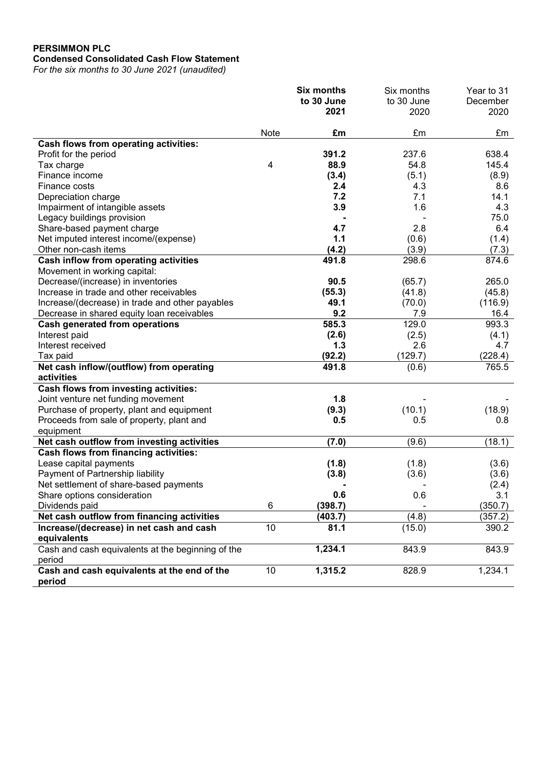# PERSIMMON PLC Condensed Consolidated Cash Flow Statement

For the six months to 30 June 2021 (unaudited)

|                                                             |      | <b>Six months</b>  | Six months         | Year to 31       |
|-------------------------------------------------------------|------|--------------------|--------------------|------------------|
|                                                             |      | to 30 June<br>2021 | to 30 June<br>2020 | December<br>2020 |
|                                                             |      |                    |                    |                  |
|                                                             | Note | £m                 | £m                 | £m               |
| Cash flows from operating activities:                       |      |                    |                    |                  |
| Profit for the period                                       |      | 391.2              | 237.6              | 638.4            |
| Tax charge                                                  | 4    | 88.9               | 54.8               | 145.4            |
| Finance income                                              |      | (3.4)              | (5.1)              | (8.9)            |
| Finance costs                                               |      | 2.4                | 4.3                | 8.6              |
| Depreciation charge                                         |      | 7.2                | 7.1                | 14.1             |
| Impairment of intangible assets                             |      | 3.9                | 1.6                | 4.3              |
| Legacy buildings provision                                  |      |                    |                    | 75.0             |
| Share-based payment charge                                  |      | 4.7                | 2.8                | 6.4              |
| Net imputed interest income/(expense)                       |      | 1.1                | (0.6)              | (1.4)            |
| Other non-cash items                                        |      | (4.2)              | (3.9)              | (7.3)            |
| Cash inflow from operating activities                       |      | 491.8              | 298.6              | 874.6            |
| Movement in working capital:                                |      |                    |                    |                  |
| Decrease/(increase) in inventories                          |      | 90.5               | (65.7)             | 265.0            |
| Increase in trade and other receivables                     |      | (55.3)             | (41.8)             | (45.8)           |
| Increase/(decrease) in trade and other payables             |      | 49.1               | (70.0)             | (116.9)          |
| Decrease in shared equity loan receivables                  |      | 9.2                | 7.9                | 16.4             |
| <b>Cash generated from operations</b>                       |      | 585.3              | 129.0              | 993.3            |
| Interest paid                                               |      | (2.6)              | (2.5)              | (4.1)            |
| Interest received                                           |      | 1.3                | 2.6                | 4.7              |
| Tax paid                                                    |      | (92.2)             | (129.7)            | (228.4)          |
| Net cash inflow/(outflow) from operating                    |      | 491.8              | (0.6)              | 765.5            |
| activities                                                  |      |                    |                    |                  |
| Cash flows from investing activities:                       |      |                    |                    |                  |
| Joint venture net funding movement                          |      | 1.8                |                    |                  |
| Purchase of property, plant and equipment                   |      | (9.3)              | (10.1)             | (18.9)           |
| Proceeds from sale of property, plant and                   |      | 0.5                | 0.5                | 0.8              |
| equipment                                                   |      |                    |                    |                  |
| Net cash outflow from investing activities                  |      | (7.0)              | (9.6)              | (18.1)           |
| Cash flows from financing activities:                       |      |                    |                    |                  |
| Lease capital payments                                      |      | (1.8)              | (1.8)              | (3.6)            |
| Payment of Partnership liability                            |      | (3.8)              | (3.6)              | (3.6)            |
| Net settlement of share-based payments                      |      |                    |                    | (2.4)            |
| Share options consideration                                 |      | 0.6                | 0.6                | 3.1              |
| Dividends paid                                              | 6    | (398.7)            |                    | (350.7)          |
| Net cash outflow from financing activities                  |      | (403.7)            | (4.8)              | (357.2)          |
| Increase/(decrease) in net cash and cash<br>equivalents     | 10   | 81.1               | (15.0)             | 390.2            |
| Cash and cash equivalents at the beginning of the<br>period |      | 1,234.1            | 843.9              | 843.9            |
| Cash and cash equivalents at the end of the<br>period       | 10   | 1,315.2            | 828.9              | 1,234.1          |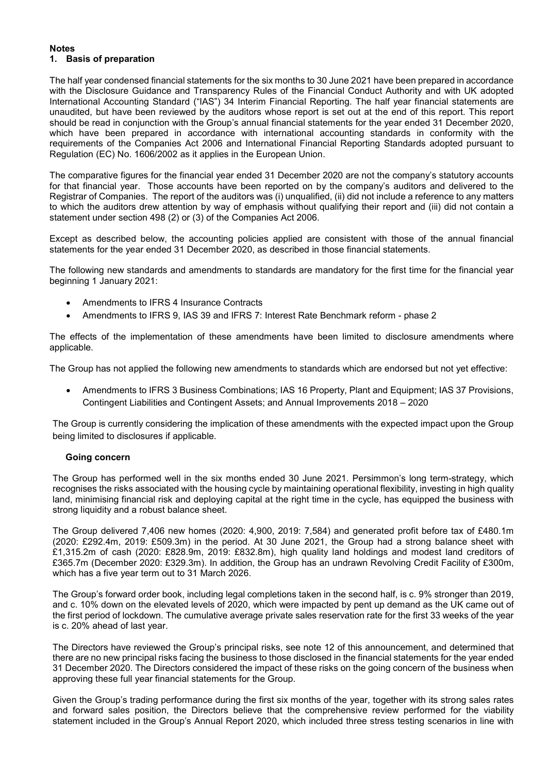#### **Notes** 1. Basis of preparation

The half year condensed financial statements for the six months to 30 June 2021 have been prepared in accordance with the Disclosure Guidance and Transparency Rules of the Financial Conduct Authority and with UK adopted International Accounting Standard ("IAS") 34 Interim Financial Reporting. The half year financial statements are unaudited, but have been reviewed by the auditors whose report is set out at the end of this report. This report should be read in conjunction with the Group's annual financial statements for the year ended 31 December 2020, which have been prepared in accordance with international accounting standards in conformity with the requirements of the Companies Act 2006 and International Financial Reporting Standards adopted pursuant to Regulation (EC) No. 1606/2002 as it applies in the European Union.

The comparative figures for the financial year ended 31 December 2020 are not the company's statutory accounts for that financial year. Those accounts have been reported on by the company's auditors and delivered to the Registrar of Companies. The report of the auditors was (i) unqualified, (ii) did not include a reference to any matters to which the auditors drew attention by way of emphasis without qualifying their report and (iii) did not contain a statement under section 498 (2) or (3) of the Companies Act 2006.

Except as described below, the accounting policies applied are consistent with those of the annual financial statements for the year ended 31 December 2020, as described in those financial statements.

The following new standards and amendments to standards are mandatory for the first time for the financial year beginning 1 January 2021:

- Amendments to IFRS 4 Insurance Contracts
- Amendments to IFRS 9, IAS 39 and IFRS 7: Interest Rate Benchmark reform phase 2

The effects of the implementation of these amendments have been limited to disclosure amendments where applicable.

The Group has not applied the following new amendments to standards which are endorsed but not yet effective:

 Amendments to IFRS 3 Business Combinations; IAS 16 Property, Plant and Equipment; IAS 37 Provisions, Contingent Liabilities and Contingent Assets; and Annual Improvements 2018 – 2020

The Group is currently considering the implication of these amendments with the expected impact upon the Group being limited to disclosures if applicable.

# Going concern

The Group has performed well in the six months ended 30 June 2021. Persimmon's long term-strategy, which recognises the risks associated with the housing cycle by maintaining operational flexibility, investing in high quality land, minimising financial risk and deploying capital at the right time in the cycle, has equipped the business with strong liquidity and a robust balance sheet.

The Group delivered 7,406 new homes (2020: 4,900, 2019: 7,584) and generated profit before tax of £480.1m (2020: £292.4m, 2019: £509.3m) in the period. At 30 June 2021, the Group had a strong balance sheet with £1,315.2m of cash (2020: £828.9m, 2019: £832.8m), high quality land holdings and modest land creditors of £365.7m (December 2020: £329.3m). In addition, the Group has an undrawn Revolving Credit Facility of £300m, which has a five year term out to 31 March 2026.

The Group's forward order book, including legal completions taken in the second half, is c. 9% stronger than 2019, and c. 10% down on the elevated levels of 2020, which were impacted by pent up demand as the UK came out of the first period of lockdown. The cumulative average private sales reservation rate for the first 33 weeks of the year is c. 20% ahead of last year.

The Directors have reviewed the Group's principal risks, see note 12 of this announcement, and determined that there are no new principal risks facing the business to those disclosed in the financial statements for the year ended 31 December 2020. The Directors considered the impact of these risks on the going concern of the business when approving these full year financial statements for the Group.

Given the Group's trading performance during the first six months of the year, together with its strong sales rates and forward sales position, the Directors believe that the comprehensive review performed for the viability statement included in the Group's Annual Report 2020, which included three stress testing scenarios in line with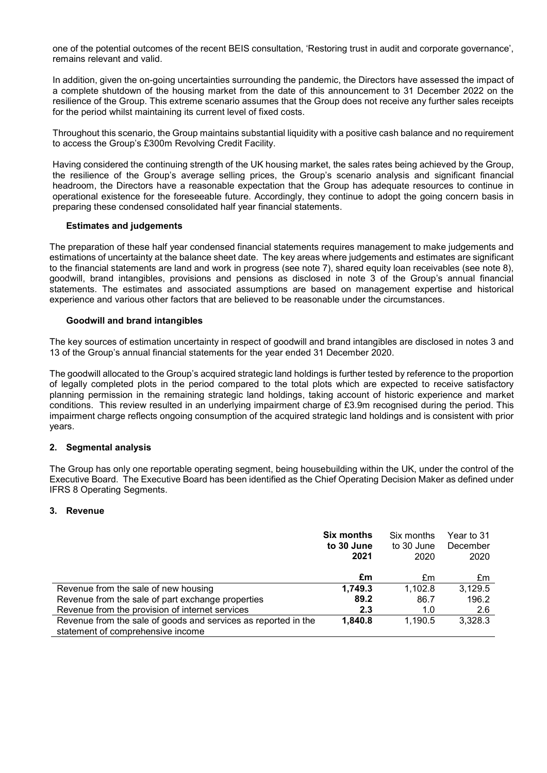one of the potential outcomes of the recent BEIS consultation, 'Restoring trust in audit and corporate governance', remains relevant and valid.

In addition, given the on-going uncertainties surrounding the pandemic, the Directors have assessed the impact of a complete shutdown of the housing market from the date of this announcement to 31 December 2022 on the resilience of the Group. This extreme scenario assumes that the Group does not receive any further sales receipts for the period whilst maintaining its current level of fixed costs.

Throughout this scenario, the Group maintains substantial liquidity with a positive cash balance and no requirement to access the Group's £300m Revolving Credit Facility.

Having considered the continuing strength of the UK housing market, the sales rates being achieved by the Group, the resilience of the Group's average selling prices, the Group's scenario analysis and significant financial headroom, the Directors have a reasonable expectation that the Group has adequate resources to continue in operational existence for the foreseeable future. Accordingly, they continue to adopt the going concern basis in preparing these condensed consolidated half year financial statements.

## Estimates and judgements

The preparation of these half year condensed financial statements requires management to make judgements and estimations of uncertainty at the balance sheet date. The key areas where judgements and estimates are significant to the financial statements are land and work in progress (see note 7), shared equity loan receivables (see note 8), goodwill, brand intangibles, provisions and pensions as disclosed in note 3 of the Group's annual financial statements. The estimates and associated assumptions are based on management expertise and historical experience and various other factors that are believed to be reasonable under the circumstances.

# Goodwill and brand intangibles

The key sources of estimation uncertainty in respect of goodwill and brand intangibles are disclosed in notes 3 and 13 of the Group's annual financial statements for the year ended 31 December 2020.

The goodwill allocated to the Group's acquired strategic land holdings is further tested by reference to the proportion of legally completed plots in the period compared to the total plots which are expected to receive satisfactory planning permission in the remaining strategic land holdings, taking account of historic experience and market conditions. This review resulted in an underlying impairment charge of £3.9m recognised during the period. This impairment charge reflects ongoing consumption of the acquired strategic land holdings and is consistent with prior years.

#### 2. Segmental analysis

The Group has only one reportable operating segment, being housebuilding within the UK, under the control of the Executive Board. The Executive Board has been identified as the Chief Operating Decision Maker as defined under IFRS 8 Operating Segments.

#### 3. Revenue

|                                                                | <b>Six months</b><br>to 30 June<br>2021 | Six months<br>to 30 June<br>2020 | Year to 31<br>December<br>2020 |
|----------------------------------------------------------------|-----------------------------------------|----------------------------------|--------------------------------|
|                                                                | £m                                      | £m                               | £m                             |
| Revenue from the sale of new housing                           | 1.749.3                                 | 1.102.8                          | 3,129.5                        |
| Revenue from the sale of part exchange properties              | 89.2                                    | 86.7                             | 196.2                          |
| Revenue from the provision of internet services                | 2.3                                     | 1.0                              | 2.6                            |
| Revenue from the sale of goods and services as reported in the | 1.840.8                                 | 1.190.5                          | 3,328.3                        |
| statement of comprehensive income                              |                                         |                                  |                                |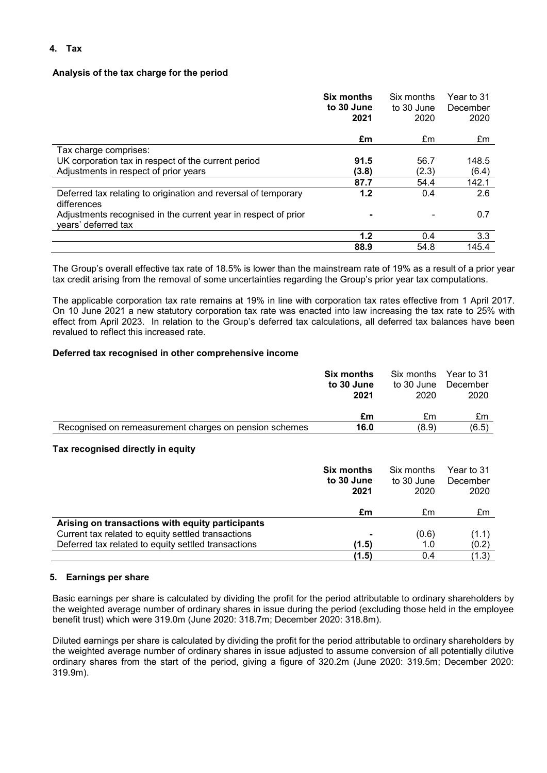# 4. Tax

# Analysis of the tax charge for the period

|                                                                                       | <b>Six months</b><br>to 30 June<br>2021 | Six months<br>to 30 June<br>2020 | Year to 31<br>December<br>2020 |
|---------------------------------------------------------------------------------------|-----------------------------------------|----------------------------------|--------------------------------|
|                                                                                       | £m                                      | £m                               | £m                             |
| Tax charge comprises:                                                                 |                                         |                                  |                                |
| UK corporation tax in respect of the current period                                   | 91.5                                    | 56.7                             | 148.5                          |
| Adjustments in respect of prior years                                                 | (3.8)                                   | (2.3)                            | (6.4)                          |
|                                                                                       | 87.7                                    | 54.4                             | 142.1                          |
| Deferred tax relating to origination and reversal of temporary<br>differences         | 1.2                                     | 0.4                              | 2.6                            |
| Adjustments recognised in the current year in respect of prior<br>years' deferred tax |                                         |                                  | 0.7                            |
|                                                                                       | 1.2                                     | 0.4                              | 3.3                            |
|                                                                                       | 88.9                                    | 54.8                             | 145.4                          |

The Group's overall effective tax rate of 18.5% is lower than the mainstream rate of 19% as a result of a prior year tax credit arising from the removal of some uncertainties regarding the Group's prior year tax computations.

The applicable corporation tax rate remains at 19% in line with corporation tax rates effective from 1 April 2017. On 10 June 2021 a new statutory corporation tax rate was enacted into law increasing the tax rate to 25% with effect from April 2023. In relation to the Group's deferred tax calculations, all deferred tax balances have been revalued to reflect this increased rate.

# Deferred tax recognised in other comprehensive income

|                                                        | <b>Six months</b> | Six months          | Year to 31 |
|--------------------------------------------------------|-------------------|---------------------|------------|
|                                                        | to 30 June        | to 30 June December |            |
|                                                        | 2021              | 2020                | 2020       |
|                                                        |                   |                     |            |
|                                                        | £m                | £m                  | £m         |
| Recognised on remeasurement charges on pension schemes | 16.0              | (8.9)               | (6.5)      |

# Tax recognised directly in equity

|                                                     | <b>Six months</b><br>to 30 June<br>2021 | Six months<br>to 30 June<br>2020 | Year to 31<br>December<br>2020 |
|-----------------------------------------------------|-----------------------------------------|----------------------------------|--------------------------------|
|                                                     | £m                                      | £m                               | £m                             |
| Arising on transactions with equity participants    |                                         |                                  |                                |
| Current tax related to equity settled transactions  |                                         | (0.6)                            | (1.1)                          |
| Deferred tax related to equity settled transactions | (1.5)                                   | 1.0                              | (0.2)                          |
|                                                     | (1.5)                                   | 0.4                              | (1.3)                          |

# 5. Earnings per share

Basic earnings per share is calculated by dividing the profit for the period attributable to ordinary shareholders by the weighted average number of ordinary shares in issue during the period (excluding those held in the employee benefit trust) which were 319.0m (June 2020: 318.7m; December 2020: 318.8m).

Diluted earnings per share is calculated by dividing the profit for the period attributable to ordinary shareholders by the weighted average number of ordinary shares in issue adjusted to assume conversion of all potentially dilutive ordinary shares from the start of the period, giving a figure of 320.2m (June 2020: 319.5m; December 2020: 319.9m).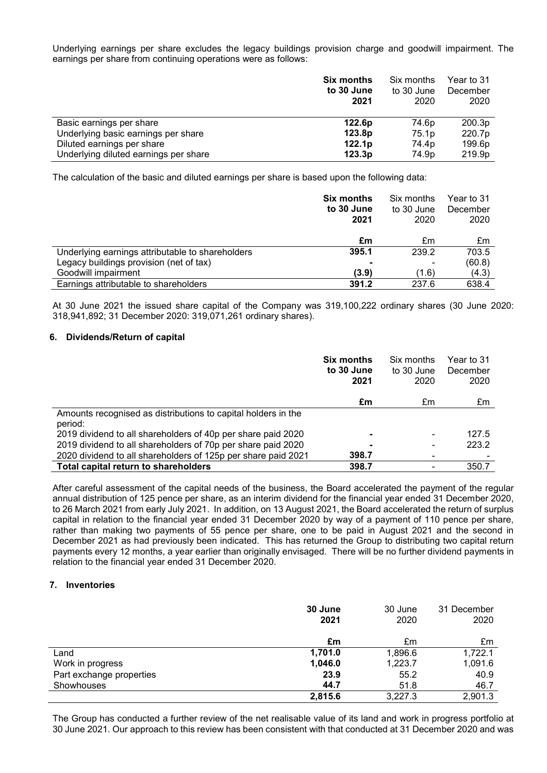Underlying earnings per share excludes the legacy buildings provision charge and goodwill impairment. The earnings per share from continuing operations were as follows:

|                                       | <b>Six months</b><br>to 30 June<br>2021 | Six months<br>to 30 June<br>2020 | Year to 31<br>December<br>2020 |
|---------------------------------------|-----------------------------------------|----------------------------------|--------------------------------|
| Basic earnings per share              | 122.6p                                  | 74.6p                            | 200.3p                         |
| Underlying basic earnings per share   | 123.8p                                  | 75.1p                            | 220.7p                         |
| Diluted earnings per share            | 122.1p                                  | 74.4p                            | 199.6p                         |
| Underlying diluted earnings per share | 123.3p                                  | 74.9p                            | 219.9p                         |

The calculation of the basic and diluted earnings per share is based upon the following data:

|                                                  | <b>Six months</b><br>to 30 June<br>2021 | Six months<br>to 30 June<br>2020 | Year to 31<br>December<br>2020 |
|--------------------------------------------------|-----------------------------------------|----------------------------------|--------------------------------|
|                                                  | £m                                      | £m                               | £m                             |
| Underlying earnings attributable to shareholders | 395.1                                   | 239.2                            | 703.5                          |
| Legacy buildings provision (net of tax)          |                                         | ۰                                | (60.8)                         |
| Goodwill impairment                              | (3.9)                                   | (1.6)                            | (4.3)                          |
| Earnings attributable to shareholders            | 391.2                                   | 237.6                            | 638.4                          |

At 30 June 2021 the issued share capital of the Company was 319,100,222 ordinary shares (30 June 2020: 318,941,892; 31 December 2020: 319,071,261 ordinary shares).

#### 6. Dividends/Return of capital

|                                                               | <b>Six months</b><br>to 30 June<br>2021 | Six months<br>to 30 June<br>2020 | Year to 31<br>December<br>2020 |
|---------------------------------------------------------------|-----------------------------------------|----------------------------------|--------------------------------|
|                                                               | £m                                      | £m                               | £m                             |
| Amounts recognised as distributions to capital holders in the |                                         |                                  |                                |
| period:                                                       |                                         |                                  |                                |
| 2019 dividend to all shareholders of 40p per share paid 2020  |                                         |                                  | 127.5                          |
| 2019 dividend to all shareholders of 70p per share paid 2020  |                                         |                                  | 223.2                          |
| 2020 dividend to all shareholders of 125p per share paid 2021 | 398.7                                   |                                  |                                |
| Total capital return to shareholders                          | 398.7                                   |                                  | 350.7                          |

After careful assessment of the capital needs of the business, the Board accelerated the payment of the regular annual distribution of 125 pence per share, as an interim dividend for the financial year ended 31 December 2020, to 26 March 2021 from early July 2021. In addition, on 13 August 2021, the Board accelerated the return of surplus capital in relation to the financial year ended 31 December 2020 by way of a payment of 110 pence per share, rather than making two payments of 55 pence per share, one to be paid in August 2021 and the second in December 2021 as had previously been indicated. This has returned the Group to distributing two capital return payments every 12 months, a year earlier than originally envisaged. There will be no further dividend payments in relation to the financial year ended 31 December 2020.

#### 7. Inventories

|                          | 30 June<br>2021 | 30 June<br>2020 | 31 December<br>2020 |
|--------------------------|-----------------|-----------------|---------------------|
|                          | £m              | £m              | £m                  |
| Land                     | 1,701.0         | 1,896.6         | 1,722.1             |
| Work in progress         | 1,046.0         | 1,223.7         | 1,091.6             |
| Part exchange properties | 23.9            | 55.2            | 40.9                |
| Showhouses               | 44.7            | 51.8            | 46.7                |
|                          | 2,815.6         | 3,227.3         | 2,901.3             |

The Group has conducted a further review of the net realisable value of its land and work in progress portfolio at 30 June 2021. Our approach to this review has been consistent with that conducted at 31 December 2020 and was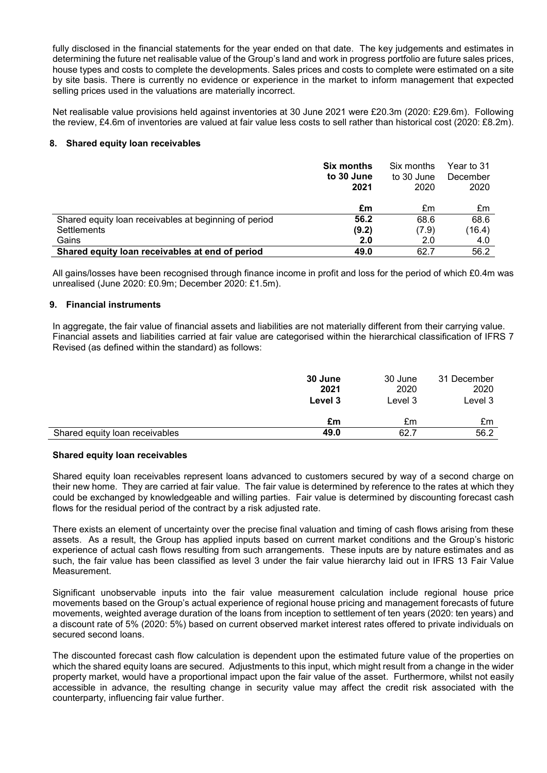fully disclosed in the financial statements for the year ended on that date. The key judgements and estimates in determining the future net realisable value of the Group's land and work in progress portfolio are future sales prices, house types and costs to complete the developments. Sales prices and costs to complete were estimated on a site by site basis. There is currently no evidence or experience in the market to inform management that expected selling prices used in the valuations are materially incorrect.

Net realisable value provisions held against inventories at 30 June 2021 were £20.3m (2020: £29.6m). Following the review, £4.6m of inventories are valued at fair value less costs to sell rather than historical cost (2020: £8.2m).

#### 8. Shared equity loan receivables

|                                                       | <b>Six months</b><br>to 30 June<br>2021 | Six months<br>to 30 June<br>2020 | Year to 31<br>December<br>2020 |
|-------------------------------------------------------|-----------------------------------------|----------------------------------|--------------------------------|
|                                                       | £m                                      | £m                               | £m                             |
| Shared equity loan receivables at beginning of period | 56.2                                    | 68.6                             | 68.6                           |
| Settlements                                           | (9.2)                                   | (7.9)                            | (16.4)                         |
| Gains                                                 | 2.0                                     | 2.0                              | 4.0                            |
| Shared equity loan receivables at end of period       | 49.0                                    | 62.7                             | 56.2                           |

All gains/losses have been recognised through finance income in profit and loss for the period of which £0.4m was unrealised (June 2020: £0.9m; December 2020: £1.5m).

## 9. Financial instruments

In aggregate, the fair value of financial assets and liabilities are not materially different from their carrying value. Financial assets and liabilities carried at fair value are categorised within the hierarchical classification of IFRS 7 Revised (as defined within the standard) as follows:

|                                | 30 June<br>2021<br>Level 3 | 30 June<br>2020<br>Level 3 | 31 December<br>2020<br>Level 3 |
|--------------------------------|----------------------------|----------------------------|--------------------------------|
|                                | £m                         | £m                         | £m                             |
| Shared equity loan receivables | 49.0                       | 62.7                       | 56.2                           |

#### Shared equity loan receivables

Shared equity loan receivables represent loans advanced to customers secured by way of a second charge on their new home. They are carried at fair value. The fair value is determined by reference to the rates at which they could be exchanged by knowledgeable and willing parties. Fair value is determined by discounting forecast cash flows for the residual period of the contract by a risk adjusted rate.

There exists an element of uncertainty over the precise final valuation and timing of cash flows arising from these assets. As a result, the Group has applied inputs based on current market conditions and the Group's historic experience of actual cash flows resulting from such arrangements. These inputs are by nature estimates and as such, the fair value has been classified as level 3 under the fair value hierarchy laid out in IFRS 13 Fair Value Measurement.

Significant unobservable inputs into the fair value measurement calculation include regional house price movements based on the Group's actual experience of regional house pricing and management forecasts of future movements, weighted average duration of the loans from inception to settlement of ten years (2020: ten years) and a discount rate of 5% (2020: 5%) based on current observed market interest rates offered to private individuals on secured second loans.

The discounted forecast cash flow calculation is dependent upon the estimated future value of the properties on which the shared equity loans are secured. Adjustments to this input, which might result from a change in the wider property market, would have a proportional impact upon the fair value of the asset. Furthermore, whilst not easily accessible in advance, the resulting change in security value may affect the credit risk associated with the counterparty, influencing fair value further.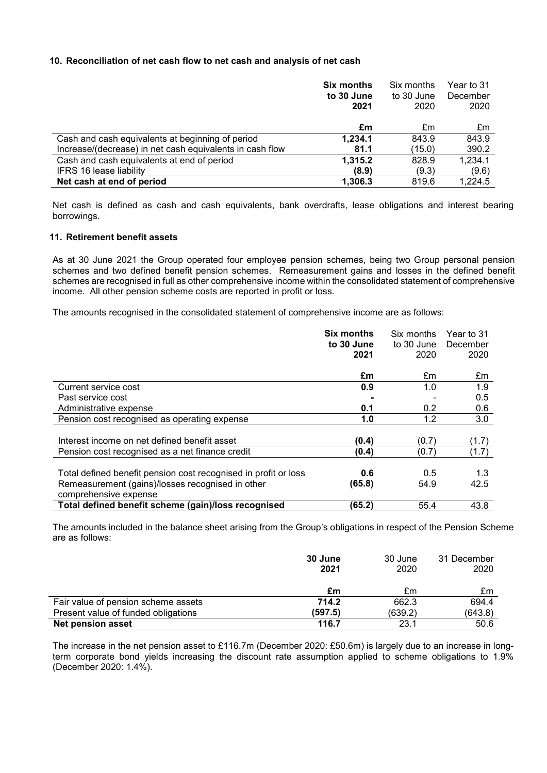# 10. Reconciliation of net cash flow to net cash and analysis of net cash

|                                                          | <b>Six months</b> | Six months | Year to 31 |
|----------------------------------------------------------|-------------------|------------|------------|
|                                                          | to 30 June        | to 30 June | December   |
|                                                          | 2021              | 2020       | 2020       |
|                                                          |                   |            |            |
|                                                          | £m                | £m         | £m         |
| Cash and cash equivalents at beginning of period         | 1,234.1           | 843.9      | 843.9      |
| Increase/(decrease) in net cash equivalents in cash flow | 81.1              | (15.0)     | 390.2      |
| Cash and cash equivalents at end of period               | 1,315.2           | 828.9      | 1,234.1    |
| <b>IFRS 16 lease liability</b>                           | (8.9)             | (9.3)      | (9.6)      |
| Net cash at end of period                                | 1,306.3           | 819.6      | 1,224.5    |

Net cash is defined as cash and cash equivalents, bank overdrafts, lease obligations and interest bearing borrowings.

# 11. Retirement benefit assets

As at 30 June 2021 the Group operated four employee pension schemes, being two Group personal pension schemes and two defined benefit pension schemes. Remeasurement gains and losses in the defined benefit schemes are recognised in full as other comprehensive income within the consolidated statement of comprehensive income. All other pension scheme costs are reported in profit or loss.

The amounts recognised in the consolidated statement of comprehensive income are as follows:

|                                                                 | <b>Six months</b><br>to 30 June<br>2021 | Six months<br>to 30 June<br>2020 | Year to 31<br>December<br>2020 |
|-----------------------------------------------------------------|-----------------------------------------|----------------------------------|--------------------------------|
|                                                                 |                                         |                                  |                                |
|                                                                 | £m                                      | £m                               | £m                             |
| Current service cost                                            | 0.9                                     | 1.0                              | 1.9                            |
| Past service cost                                               |                                         |                                  | 0.5                            |
| Administrative expense                                          | 0.1                                     | 0.2                              | 0.6                            |
| Pension cost recognised as operating expense                    | 1.0                                     | 1.2                              | 3.0                            |
|                                                                 |                                         |                                  |                                |
| Interest income on net defined benefit asset                    | (0.4)                                   | (0.7)                            | (1.7)                          |
| Pension cost recognised as a net finance credit                 | (0.4)                                   | (0.7)                            | (1.7)                          |
|                                                                 |                                         |                                  |                                |
| Total defined benefit pension cost recognised in profit or loss | 0.6                                     | 0.5                              | 1.3                            |
| Remeasurement (gains)/losses recognised in other                | (65.8)                                  | 54.9                             | 42.5                           |
| comprehensive expense                                           |                                         |                                  |                                |
| Total defined benefit scheme (gain)/loss recognised             | (65.2)                                  | 55.4                             | 43.8                           |

The amounts included in the balance sheet arising from the Group's obligations in respect of the Pension Scheme are as follows:

|                                     | 30 June<br>2021 | 30 June<br>2020 | 31 December<br>2020 |
|-------------------------------------|-----------------|-----------------|---------------------|
|                                     | £m              | £m              | £m                  |
| Fair value of pension scheme assets | 714.2           | 662.3           | 694.4               |
| Present value of funded obligations | (597.5)         | (639.2)         | (643.8)             |
| <b>Net pension asset</b>            | 116.7           | 23.1            | 50.6                |

The increase in the net pension asset to £116.7m (December 2020: £50.6m) is largely due to an increase in longterm corporate bond yields increasing the discount rate assumption applied to scheme obligations to 1.9% (December 2020: 1.4%).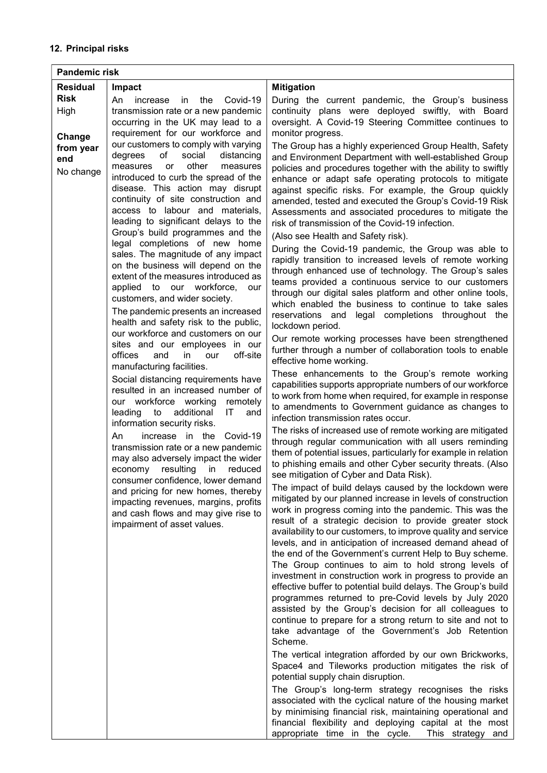| <b>Pandemic risk</b> |                                                                            |                                                                                                                       |
|----------------------|----------------------------------------------------------------------------|-----------------------------------------------------------------------------------------------------------------------|
| <b>Residual</b>      | Impact                                                                     | <b>Mitigation</b>                                                                                                     |
| <b>Risk</b>          | increase<br>An<br>in the<br>Covid-19                                       | During the current pandemic, the Group's business                                                                     |
| High                 | transmission rate or a new pandemic                                        | continuity plans were deployed swiftly, with Board                                                                    |
|                      | occurring in the UK may lead to a                                          | oversight. A Covid-19 Steering Committee continues to                                                                 |
| Change               | requirement for our workforce and<br>our customers to comply with varying  | monitor progress.                                                                                                     |
| from year            | of<br>social<br>degrees<br>distancing                                      | The Group has a highly experienced Group Health, Safety<br>and Environment Department with well-established Group     |
| end                  | other<br>measures<br><b>or</b><br>measures                                 | policies and procedures together with the ability to swiftly                                                          |
| No change            | introduced to curb the spread of the                                       | enhance or adapt safe operating protocols to mitigate                                                                 |
|                      | disease. This action may disrupt                                           | against specific risks. For example, the Group quickly                                                                |
|                      | continuity of site construction and<br>access to labour and materials,     | amended, tested and executed the Group's Covid-19 Risk                                                                |
|                      | leading to significant delays to the                                       | Assessments and associated procedures to mitigate the<br>risk of transmission of the Covid-19 infection.              |
|                      | Group's build programmes and the                                           | (Also see Health and Safety risk).                                                                                    |
|                      | legal completions of new home                                              | During the Covid-19 pandemic, the Group was able to                                                                   |
|                      | sales. The magnitude of any impact                                         | rapidly transition to increased levels of remote working                                                              |
|                      | on the business will depend on the<br>extent of the measures introduced as | through enhanced use of technology. The Group's sales                                                                 |
|                      | applied to our workforce,<br>our                                           | teams provided a continuous service to our customers                                                                  |
|                      | customers, and wider society.                                              | through our digital sales platform and other online tools,<br>which enabled the business to continue to take sales    |
|                      | The pandemic presents an increased                                         | reservations and legal completions throughout the                                                                     |
|                      | health and safety risk to the public,                                      | lockdown period.                                                                                                      |
|                      | our workforce and customers on our<br>sites and our employees in our       | Our remote working processes have been strengthened                                                                   |
|                      | offices<br>and<br>off-site<br>in.<br>our                                   | further through a number of collaboration tools to enable                                                             |
|                      | manufacturing facilities.                                                  | effective home working.<br>These enhancements to the Group's remote working                                           |
|                      | Social distancing requirements have                                        | capabilities supports appropriate numbers of our workforce                                                            |
|                      | resulted in an increased number of<br>our workforce working                | to work from home when required, for example in response                                                              |
|                      | remotely<br>additional<br>leading<br>to<br>IT<br>and                       | to amendments to Government guidance as changes to                                                                    |
|                      | information security risks.                                                | infection transmission rates occur.                                                                                   |
|                      | An<br>increase in the Covid-19                                             | The risks of increased use of remote working are mitigated<br>through regular communication with all users reminding  |
|                      | transmission rate or a new pandemic                                        | them of potential issues, particularly for example in relation                                                        |
|                      | may also adversely impact the wider<br>in reduced<br>economy resulting     | to phishing emails and other Cyber security threats. (Also                                                            |
|                      | consumer confidence, lower demand                                          | see mitigation of Cyber and Data Risk).                                                                               |
|                      | and pricing for new homes, thereby                                         | The impact of build delays caused by the lockdown were<br>mitigated by our planned increase in levels of construction |
|                      | impacting revenues, margins, profits                                       | work in progress coming into the pandemic. This was the                                                               |
|                      | and cash flows and may give rise to<br>impairment of asset values.         | result of a strategic decision to provide greater stock                                                               |
|                      |                                                                            | availability to our customers, to improve quality and service                                                         |
|                      |                                                                            | levels, and in anticipation of increased demand ahead of                                                              |
|                      |                                                                            | the end of the Government's current Help to Buy scheme.<br>The Group continues to aim to hold strong levels of        |
|                      |                                                                            | investment in construction work in progress to provide an                                                             |
|                      |                                                                            | effective buffer to potential build delays. The Group's build                                                         |
|                      |                                                                            | programmes returned to pre-Covid levels by July 2020                                                                  |
|                      |                                                                            | assisted by the Group's decision for all colleagues to<br>continue to prepare for a strong return to site and not to  |
|                      |                                                                            | take advantage of the Government's Job Retention                                                                      |
|                      |                                                                            | Scheme.                                                                                                               |
|                      |                                                                            | The vertical integration afforded by our own Brickworks,                                                              |
|                      |                                                                            | Space4 and Tileworks production mitigates the risk of                                                                 |
|                      |                                                                            | potential supply chain disruption.                                                                                    |
|                      |                                                                            | The Group's long-term strategy recognises the risks<br>associated with the cyclical nature of the housing market      |
|                      |                                                                            | by minimising financial risk, maintaining operational and                                                             |
|                      |                                                                            | financial flexibility and deploying capital at the most                                                               |
|                      |                                                                            | appropriate time in the cycle.<br>This strategy and                                                                   |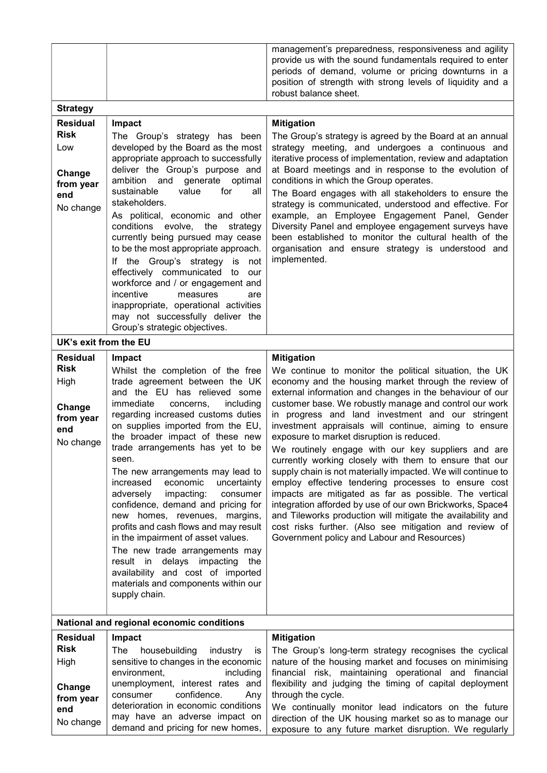|                                         |                                                                                                                                                                                                                                                                                                                                                                                                                                                                                                                                                                                                                                                                             | management's preparedness, responsiveness and agility<br>provide us with the sound fundamentals required to enter<br>periods of demand, volume or pricing downturns in a<br>position of strength with strong levels of liquidity and a<br>robust balance sheet.                                                                                                                                                                                                                                                                                                                                                                                                                                                                                                                                                     |
|-----------------------------------------|-----------------------------------------------------------------------------------------------------------------------------------------------------------------------------------------------------------------------------------------------------------------------------------------------------------------------------------------------------------------------------------------------------------------------------------------------------------------------------------------------------------------------------------------------------------------------------------------------------------------------------------------------------------------------------|---------------------------------------------------------------------------------------------------------------------------------------------------------------------------------------------------------------------------------------------------------------------------------------------------------------------------------------------------------------------------------------------------------------------------------------------------------------------------------------------------------------------------------------------------------------------------------------------------------------------------------------------------------------------------------------------------------------------------------------------------------------------------------------------------------------------|
| <b>Strategy</b>                         |                                                                                                                                                                                                                                                                                                                                                                                                                                                                                                                                                                                                                                                                             |                                                                                                                                                                                                                                                                                                                                                                                                                                                                                                                                                                                                                                                                                                                                                                                                                     |
| <b>Residual</b>                         | Impact                                                                                                                                                                                                                                                                                                                                                                                                                                                                                                                                                                                                                                                                      | <b>Mitigation</b>                                                                                                                                                                                                                                                                                                                                                                                                                                                                                                                                                                                                                                                                                                                                                                                                   |
| <b>Risk</b><br>Low                      | The Group's strategy has been<br>developed by the Board as the most                                                                                                                                                                                                                                                                                                                                                                                                                                                                                                                                                                                                         | The Group's strategy is agreed by the Board at an annual<br>strategy meeting, and undergoes a continuous and                                                                                                                                                                                                                                                                                                                                                                                                                                                                                                                                                                                                                                                                                                        |
| Change                                  | appropriate approach to successfully<br>deliver the Group's purpose and<br>ambition and generate optimal                                                                                                                                                                                                                                                                                                                                                                                                                                                                                                                                                                    | iterative process of implementation, review and adaptation<br>at Board meetings and in response to the evolution of<br>conditions in which the Group operates.                                                                                                                                                                                                                                                                                                                                                                                                                                                                                                                                                                                                                                                      |
| from year                               | sustainable<br>value<br>for<br>all                                                                                                                                                                                                                                                                                                                                                                                                                                                                                                                                                                                                                                          | The Board engages with all stakeholders to ensure the                                                                                                                                                                                                                                                                                                                                                                                                                                                                                                                                                                                                                                                                                                                                                               |
| end                                     | stakeholders.                                                                                                                                                                                                                                                                                                                                                                                                                                                                                                                                                                                                                                                               | strategy is communicated, understood and effective. For                                                                                                                                                                                                                                                                                                                                                                                                                                                                                                                                                                                                                                                                                                                                                             |
| No change                               | As political, economic and other<br>conditions evolve, the<br>strategy<br>currently being pursued may cease<br>to be the most appropriate approach.<br>If the Group's strategy<br>is<br>not<br>effectively communicated to<br>our<br>workforce and / or engagement and<br>incentive<br>measures<br>are<br>inappropriate, operational activities<br>may not successfully deliver the                                                                                                                                                                                                                                                                                         | example, an Employee Engagement Panel, Gender<br>Diversity Panel and employee engagement surveys have<br>been established to monitor the cultural health of the<br>organisation and ensure strategy is understood and<br>implemented.                                                                                                                                                                                                                                                                                                                                                                                                                                                                                                                                                                               |
|                                         | Group's strategic objectives.                                                                                                                                                                                                                                                                                                                                                                                                                                                                                                                                                                                                                                               |                                                                                                                                                                                                                                                                                                                                                                                                                                                                                                                                                                                                                                                                                                                                                                                                                     |
| UK's exit from the EU                   |                                                                                                                                                                                                                                                                                                                                                                                                                                                                                                                                                                                                                                                                             |                                                                                                                                                                                                                                                                                                                                                                                                                                                                                                                                                                                                                                                                                                                                                                                                                     |
| <b>Residual</b><br><b>Risk</b>          | Impact                                                                                                                                                                                                                                                                                                                                                                                                                                                                                                                                                                                                                                                                      | <b>Mitigation</b>                                                                                                                                                                                                                                                                                                                                                                                                                                                                                                                                                                                                                                                                                                                                                                                                   |
| High                                    | Whilst the completion of the free<br>trade agreement between the UK                                                                                                                                                                                                                                                                                                                                                                                                                                                                                                                                                                                                         | We continue to monitor the political situation, the UK<br>economy and the housing market through the review of                                                                                                                                                                                                                                                                                                                                                                                                                                                                                                                                                                                                                                                                                                      |
| Change<br>from year<br>end<br>No change | and the EU has relieved some<br>immediate<br>concerns,<br>including<br>regarding increased customs duties<br>on supplies imported from the EU,<br>the broader impact of these new<br>trade arrangements has yet to be<br>seen.<br>The new arrangements may lead to<br>economic<br>uncertainty<br>increased<br>impacting:<br>consumer<br>adversely<br>confidence, demand and pricing for<br>new homes, revenues, margins,<br>profits and cash flows and may result<br>in the impairment of asset values.<br>The new trade arrangements may<br>result in delays impacting<br>the<br>availability and cost of imported<br>materials and components within our<br>supply chain. | external information and changes in the behaviour of our<br>customer base. We robustly manage and control our work<br>in progress and land investment and our stringent<br>investment appraisals will continue, aiming to ensure<br>exposure to market disruption is reduced.<br>We routinely engage with our key suppliers and are<br>currently working closely with them to ensure that our<br>supply chain is not materially impacted. We will continue to<br>employ effective tendering processes to ensure cost<br>impacts are mitigated as far as possible. The vertical<br>integration afforded by use of our own Brickworks, Space4<br>and Tileworks production will mitigate the availability and<br>cost risks further. (Also see mitigation and review of<br>Government policy and Labour and Resources) |
|                                         | National and regional economic conditions                                                                                                                                                                                                                                                                                                                                                                                                                                                                                                                                                                                                                                   |                                                                                                                                                                                                                                                                                                                                                                                                                                                                                                                                                                                                                                                                                                                                                                                                                     |
| <b>Residual</b><br><b>Risk</b>          | Impact                                                                                                                                                                                                                                                                                                                                                                                                                                                                                                                                                                                                                                                                      | <b>Mitigation</b>                                                                                                                                                                                                                                                                                                                                                                                                                                                                                                                                                                                                                                                                                                                                                                                                   |
| High                                    | The<br>housebuilding<br>industry<br>İS<br>sensitive to changes in the economic                                                                                                                                                                                                                                                                                                                                                                                                                                                                                                                                                                                              | The Group's long-term strategy recognises the cyclical<br>nature of the housing market and focuses on minimising                                                                                                                                                                                                                                                                                                                                                                                                                                                                                                                                                                                                                                                                                                    |
|                                         | environment,<br>including                                                                                                                                                                                                                                                                                                                                                                                                                                                                                                                                                                                                                                                   | financial risk, maintaining operational and financial                                                                                                                                                                                                                                                                                                                                                                                                                                                                                                                                                                                                                                                                                                                                                               |
| Change<br>from year<br>end<br>No change | unemployment, interest rates and<br>confidence.<br>consumer<br>Any<br>deterioration in economic conditions<br>may have an adverse impact on<br>demand and pricing for new homes,                                                                                                                                                                                                                                                                                                                                                                                                                                                                                            | flexibility and judging the timing of capital deployment<br>through the cycle.<br>We continually monitor lead indicators on the future<br>direction of the UK housing market so as to manage our<br>exposure to any future market disruption. We regularly                                                                                                                                                                                                                                                                                                                                                                                                                                                                                                                                                          |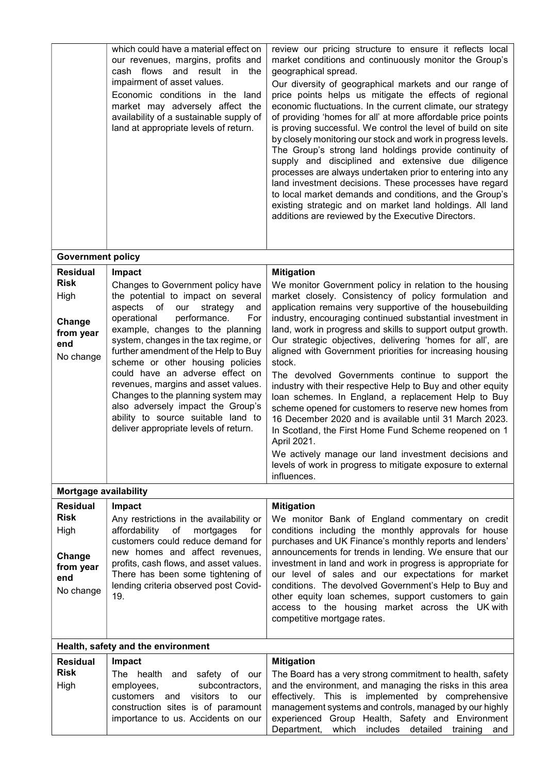|                                | which could have a material effect on<br>our revenues, margins, profits and<br>cash flows and result in<br>the<br>impairment of asset values.<br>Economic conditions in the land<br>market may adversely affect the<br>availability of a sustainable supply of<br>land at appropriate levels of return. | review our pricing structure to ensure it reflects local<br>market conditions and continuously monitor the Group's<br>geographical spread.<br>Our diversity of geographical markets and our range of<br>price points helps us mitigate the effects of regional<br>economic fluctuations. In the current climate, our strategy<br>of providing 'homes for all' at more affordable price points<br>is proving successful. We control the level of build on site<br>by closely monitoring our stock and work in progress levels.<br>The Group's strong land holdings provide continuity of<br>supply and disciplined and extensive due diligence<br>processes are always undertaken prior to entering into any<br>land investment decisions. These processes have regard<br>to local market demands and conditions, and the Group's<br>existing strategic and on market land holdings. All land<br>additions are reviewed by the Executive Directors. |
|--------------------------------|---------------------------------------------------------------------------------------------------------------------------------------------------------------------------------------------------------------------------------------------------------------------------------------------------------|----------------------------------------------------------------------------------------------------------------------------------------------------------------------------------------------------------------------------------------------------------------------------------------------------------------------------------------------------------------------------------------------------------------------------------------------------------------------------------------------------------------------------------------------------------------------------------------------------------------------------------------------------------------------------------------------------------------------------------------------------------------------------------------------------------------------------------------------------------------------------------------------------------------------------------------------------|
| <b>Government policy</b>       |                                                                                                                                                                                                                                                                                                         |                                                                                                                                                                                                                                                                                                                                                                                                                                                                                                                                                                                                                                                                                                                                                                                                                                                                                                                                                    |
| <b>Residual</b>                | Impact                                                                                                                                                                                                                                                                                                  | <b>Mitigation</b>                                                                                                                                                                                                                                                                                                                                                                                                                                                                                                                                                                                                                                                                                                                                                                                                                                                                                                                                  |
| <b>Risk</b>                    | Changes to Government policy have                                                                                                                                                                                                                                                                       | We monitor Government policy in relation to the housing                                                                                                                                                                                                                                                                                                                                                                                                                                                                                                                                                                                                                                                                                                                                                                                                                                                                                            |
| High                           | the potential to impact on several<br>aspects<br>of<br>our<br>strategy<br>and                                                                                                                                                                                                                           | market closely. Consistency of policy formulation and<br>application remains very supportive of the housebuilding                                                                                                                                                                                                                                                                                                                                                                                                                                                                                                                                                                                                                                                                                                                                                                                                                                  |
| Change                         | operational<br>performance.<br>For                                                                                                                                                                                                                                                                      | industry, encouraging continued substantial investment in                                                                                                                                                                                                                                                                                                                                                                                                                                                                                                                                                                                                                                                                                                                                                                                                                                                                                          |
| from year<br>end               | example, changes to the planning<br>system, changes in the tax regime, or                                                                                                                                                                                                                               | land, work in progress and skills to support output growth.<br>Our strategic objectives, delivering 'homes for all', are                                                                                                                                                                                                                                                                                                                                                                                                                                                                                                                                                                                                                                                                                                                                                                                                                           |
| No change                      | further amendment of the Help to Buy                                                                                                                                                                                                                                                                    | aligned with Government priorities for increasing housing                                                                                                                                                                                                                                                                                                                                                                                                                                                                                                                                                                                                                                                                                                                                                                                                                                                                                          |
|                                | scheme or other housing policies<br>could have an adverse effect on                                                                                                                                                                                                                                     | stock.<br>The devolved Governments continue to support the                                                                                                                                                                                                                                                                                                                                                                                                                                                                                                                                                                                                                                                                                                                                                                                                                                                                                         |
|                                | revenues, margins and asset values.                                                                                                                                                                                                                                                                     | industry with their respective Help to Buy and other equity                                                                                                                                                                                                                                                                                                                                                                                                                                                                                                                                                                                                                                                                                                                                                                                                                                                                                        |
|                                | Changes to the planning system may<br>also adversely impact the Group's                                                                                                                                                                                                                                 | loan schemes. In England, a replacement Help to Buy<br>scheme opened for customers to reserve new homes from                                                                                                                                                                                                                                                                                                                                                                                                                                                                                                                                                                                                                                                                                                                                                                                                                                       |
|                                | ability to source suitable land to                                                                                                                                                                                                                                                                      | 16 December 2020 and is available until 31 March 2023.                                                                                                                                                                                                                                                                                                                                                                                                                                                                                                                                                                                                                                                                                                                                                                                                                                                                                             |
|                                | deliver appropriate levels of return.                                                                                                                                                                                                                                                                   | In Scotland, the First Home Fund Scheme reopened on 1<br>April 2021.                                                                                                                                                                                                                                                                                                                                                                                                                                                                                                                                                                                                                                                                                                                                                                                                                                                                               |
|                                |                                                                                                                                                                                                                                                                                                         | We actively manage our land investment decisions and                                                                                                                                                                                                                                                                                                                                                                                                                                                                                                                                                                                                                                                                                                                                                                                                                                                                                               |
|                                |                                                                                                                                                                                                                                                                                                         | levels of work in progress to mitigate exposure to external<br>influences.                                                                                                                                                                                                                                                                                                                                                                                                                                                                                                                                                                                                                                                                                                                                                                                                                                                                         |
| <b>Mortgage availability</b>   |                                                                                                                                                                                                                                                                                                         |                                                                                                                                                                                                                                                                                                                                                                                                                                                                                                                                                                                                                                                                                                                                                                                                                                                                                                                                                    |
| <b>Residual</b><br><b>Risk</b> | Impact                                                                                                                                                                                                                                                                                                  | <b>Mitigation</b>                                                                                                                                                                                                                                                                                                                                                                                                                                                                                                                                                                                                                                                                                                                                                                                                                                                                                                                                  |
| High                           | Any restrictions in the availability or<br>affordability of<br>mortgages<br>for                                                                                                                                                                                                                         | We monitor Bank of England commentary on credit<br>conditions including the monthly approvals for house                                                                                                                                                                                                                                                                                                                                                                                                                                                                                                                                                                                                                                                                                                                                                                                                                                            |
|                                | customers could reduce demand for                                                                                                                                                                                                                                                                       | purchases and UK Finance's monthly reports and lenders'                                                                                                                                                                                                                                                                                                                                                                                                                                                                                                                                                                                                                                                                                                                                                                                                                                                                                            |
| Change                         | new homes and affect revenues,<br>profits, cash flows, and asset values.                                                                                                                                                                                                                                | announcements for trends in lending. We ensure that our<br>investment in land and work in progress is appropriate for                                                                                                                                                                                                                                                                                                                                                                                                                                                                                                                                                                                                                                                                                                                                                                                                                              |
| from year<br>end               | There has been some tightening of                                                                                                                                                                                                                                                                       | our level of sales and our expectations for market                                                                                                                                                                                                                                                                                                                                                                                                                                                                                                                                                                                                                                                                                                                                                                                                                                                                                                 |
| No change                      | lending criteria observed post Covid-<br>19.                                                                                                                                                                                                                                                            | conditions. The devolved Government's Help to Buy and<br>other equity loan schemes, support customers to gain                                                                                                                                                                                                                                                                                                                                                                                                                                                                                                                                                                                                                                                                                                                                                                                                                                      |
|                                |                                                                                                                                                                                                                                                                                                         | access to the housing market across the UK with                                                                                                                                                                                                                                                                                                                                                                                                                                                                                                                                                                                                                                                                                                                                                                                                                                                                                                    |
|                                |                                                                                                                                                                                                                                                                                                         | competitive mortgage rates.                                                                                                                                                                                                                                                                                                                                                                                                                                                                                                                                                                                                                                                                                                                                                                                                                                                                                                                        |
|                                | Health, safety and the environment                                                                                                                                                                                                                                                                      |                                                                                                                                                                                                                                                                                                                                                                                                                                                                                                                                                                                                                                                                                                                                                                                                                                                                                                                                                    |
| <b>Residual</b>                | Impact                                                                                                                                                                                                                                                                                                  | <b>Mitigation</b>                                                                                                                                                                                                                                                                                                                                                                                                                                                                                                                                                                                                                                                                                                                                                                                                                                                                                                                                  |
| <b>Risk</b>                    | The health and safety of our                                                                                                                                                                                                                                                                            | The Board has a very strong commitment to health, safety                                                                                                                                                                                                                                                                                                                                                                                                                                                                                                                                                                                                                                                                                                                                                                                                                                                                                           |
| High                           | employees,<br>subcontractors,<br>customers and<br>visitors to<br>our                                                                                                                                                                                                                                    | and the environment, and managing the risks in this area<br>effectively. This is implemented by comprehensive                                                                                                                                                                                                                                                                                                                                                                                                                                                                                                                                                                                                                                                                                                                                                                                                                                      |
|                                | construction sites is of paramount                                                                                                                                                                                                                                                                      | management systems and controls, managed by our highly                                                                                                                                                                                                                                                                                                                                                                                                                                                                                                                                                                                                                                                                                                                                                                                                                                                                                             |
|                                | importance to us. Accidents on our                                                                                                                                                                                                                                                                      | experienced Group Health, Safety and Environment<br>Department, which includes detailed training and                                                                                                                                                                                                                                                                                                                                                                                                                                                                                                                                                                                                                                                                                                                                                                                                                                               |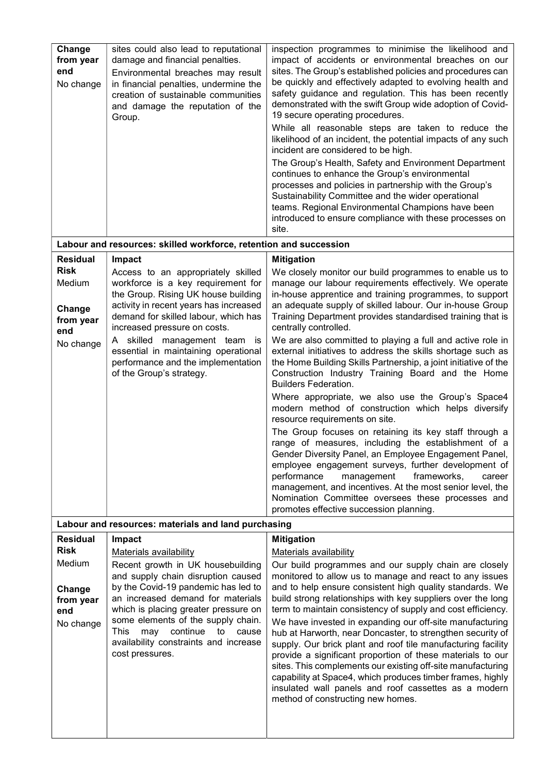| Change<br>from year<br>end<br>No change | sites could also lead to reputational<br>damage and financial penalties.<br>Environmental breaches may result<br>in financial penalties, undermine the<br>creation of sustainable communities<br>and damage the reputation of the<br>Group. | inspection programmes to minimise the likelihood and<br>impact of accidents or environmental breaches on our<br>sites. The Group's established policies and procedures can<br>be quickly and effectively adapted to evolving health and<br>safety guidance and regulation. This has been recently<br>demonstrated with the swift Group wide adoption of Covid-<br>19 secure operating procedures.<br>While all reasonable steps are taken to reduce the<br>likelihood of an incident, the potential impacts of any such<br>incident are considered to be high.<br>The Group's Health, Safety and Environment Department<br>continues to enhance the Group's environmental<br>processes and policies in partnership with the Group's<br>Sustainability Committee and the wider operational<br>teams. Regional Environmental Champions have been<br>introduced to ensure compliance with these processes on<br>site. |
|-----------------------------------------|---------------------------------------------------------------------------------------------------------------------------------------------------------------------------------------------------------------------------------------------|--------------------------------------------------------------------------------------------------------------------------------------------------------------------------------------------------------------------------------------------------------------------------------------------------------------------------------------------------------------------------------------------------------------------------------------------------------------------------------------------------------------------------------------------------------------------------------------------------------------------------------------------------------------------------------------------------------------------------------------------------------------------------------------------------------------------------------------------------------------------------------------------------------------------|
|                                         | Labour and resources: skilled workforce, retention and succession                                                                                                                                                                           |                                                                                                                                                                                                                                                                                                                                                                                                                                                                                                                                                                                                                                                                                                                                                                                                                                                                                                                    |
| <b>Residual</b>                         | Impact                                                                                                                                                                                                                                      | <b>Mitigation</b>                                                                                                                                                                                                                                                                                                                                                                                                                                                                                                                                                                                                                                                                                                                                                                                                                                                                                                  |
| <b>Risk</b><br>Medium                   | Access to an appropriately skilled<br>workforce is a key requirement for                                                                                                                                                                    | We closely monitor our build programmes to enable us to<br>manage our labour requirements effectively. We operate                                                                                                                                                                                                                                                                                                                                                                                                                                                                                                                                                                                                                                                                                                                                                                                                  |
|                                         | the Group. Rising UK house building                                                                                                                                                                                                         | in-house apprentice and training programmes, to support                                                                                                                                                                                                                                                                                                                                                                                                                                                                                                                                                                                                                                                                                                                                                                                                                                                            |
| Change                                  | activity in recent years has increased<br>demand for skilled labour, which has                                                                                                                                                              | an adequate supply of skilled labour. Our in-house Group<br>Training Department provides standardised training that is                                                                                                                                                                                                                                                                                                                                                                                                                                                                                                                                                                                                                                                                                                                                                                                             |
| from year<br>end                        | increased pressure on costs.                                                                                                                                                                                                                | centrally controlled.                                                                                                                                                                                                                                                                                                                                                                                                                                                                                                                                                                                                                                                                                                                                                                                                                                                                                              |
| No change                               | A skilled management team is                                                                                                                                                                                                                | We are also committed to playing a full and active role in                                                                                                                                                                                                                                                                                                                                                                                                                                                                                                                                                                                                                                                                                                                                                                                                                                                         |
|                                         | essential in maintaining operational<br>performance and the implementation                                                                                                                                                                  | external initiatives to address the skills shortage such as<br>the Home Building Skills Partnership, a joint initiative of the                                                                                                                                                                                                                                                                                                                                                                                                                                                                                                                                                                                                                                                                                                                                                                                     |
|                                         | of the Group's strategy.                                                                                                                                                                                                                    | Construction Industry Training Board and the Home                                                                                                                                                                                                                                                                                                                                                                                                                                                                                                                                                                                                                                                                                                                                                                                                                                                                  |
|                                         |                                                                                                                                                                                                                                             | <b>Builders Federation.</b>                                                                                                                                                                                                                                                                                                                                                                                                                                                                                                                                                                                                                                                                                                                                                                                                                                                                                        |
|                                         |                                                                                                                                                                                                                                             | Where appropriate, we also use the Group's Space4<br>modern method of construction which helps diversify<br>resource requirements on site.                                                                                                                                                                                                                                                                                                                                                                                                                                                                                                                                                                                                                                                                                                                                                                         |
|                                         |                                                                                                                                                                                                                                             | The Group focuses on retaining its key staff through a<br>range of measures, including the establishment of a<br>Gender Diversity Panel, an Employee Engagement Panel,<br>employee engagement surveys, further development of<br>performance<br>management<br>frameworks,<br>career<br>management, and incentives. At the most senior level, the<br>Nomination Committee oversees these processes and<br>promotes effective succession planning.                                                                                                                                                                                                                                                                                                                                                                                                                                                                   |
|                                         | Labour and resources: materials and land purchasing                                                                                                                                                                                         |                                                                                                                                                                                                                                                                                                                                                                                                                                                                                                                                                                                                                                                                                                                                                                                                                                                                                                                    |
| <b>Residual</b>                         | Impact                                                                                                                                                                                                                                      | <b>Mitigation</b>                                                                                                                                                                                                                                                                                                                                                                                                                                                                                                                                                                                                                                                                                                                                                                                                                                                                                                  |
| <b>Risk</b><br>Medium                   | Materials availability                                                                                                                                                                                                                      | Materials availability                                                                                                                                                                                                                                                                                                                                                                                                                                                                                                                                                                                                                                                                                                                                                                                                                                                                                             |
|                                         | Recent growth in UK housebuilding<br>and supply chain disruption caused                                                                                                                                                                     | Our build programmes and our supply chain are closely<br>monitored to allow us to manage and react to any issues                                                                                                                                                                                                                                                                                                                                                                                                                                                                                                                                                                                                                                                                                                                                                                                                   |
| Change                                  | by the Covid-19 pandemic has led to                                                                                                                                                                                                         | and to help ensure consistent high quality standards. We                                                                                                                                                                                                                                                                                                                                                                                                                                                                                                                                                                                                                                                                                                                                                                                                                                                           |
| from year<br>end                        | an increased demand for materials<br>which is placing greater pressure on                                                                                                                                                                   | build strong relationships with key suppliers over the long<br>term to maintain consistency of supply and cost efficiency.                                                                                                                                                                                                                                                                                                                                                                                                                                                                                                                                                                                                                                                                                                                                                                                         |
| No change                               | some elements of the supply chain.                                                                                                                                                                                                          | We have invested in expanding our off-site manufacturing                                                                                                                                                                                                                                                                                                                                                                                                                                                                                                                                                                                                                                                                                                                                                                                                                                                           |
|                                         | continue<br>This<br>may<br>to<br>cause<br>availability constraints and increase<br>cost pressures.                                                                                                                                          | hub at Harworth, near Doncaster, to strengthen security of<br>supply. Our brick plant and roof tile manufacturing facility<br>provide a significant proportion of these materials to our<br>sites. This complements our existing off-site manufacturing<br>capability at Space4, which produces timber frames, highly<br>insulated wall panels and roof cassettes as a modern<br>method of constructing new homes.                                                                                                                                                                                                                                                                                                                                                                                                                                                                                                 |
|                                         |                                                                                                                                                                                                                                             |                                                                                                                                                                                                                                                                                                                                                                                                                                                                                                                                                                                                                                                                                                                                                                                                                                                                                                                    |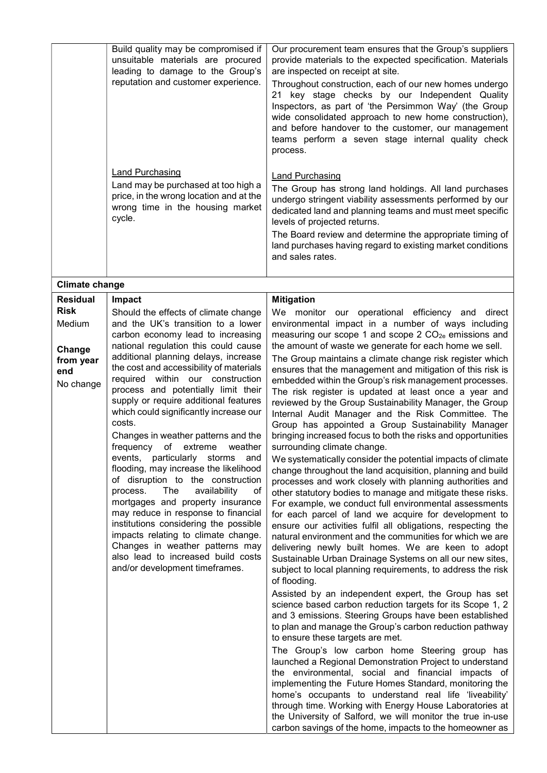|                                                                                                              | Build quality may be compromised if<br>unsuitable materials are procured<br>leading to damage to the Group's<br>reputation and customer experience.<br><b>Land Purchasing</b><br>Land may be purchased at too high a<br>price, in the wrong location and at the<br>wrong time in the housing market<br>cycle.                                                                                                                                                                                                                                                                                                                                                                                                                                                                                                                                                                                                                                   | Our procurement team ensures that the Group's suppliers<br>provide materials to the expected specification. Materials<br>are inspected on receipt at site.<br>Throughout construction, each of our new homes undergo<br>21 key stage checks by our Independent Quality<br>Inspectors, as part of 'the Persimmon Way' (the Group<br>wide consolidated approach to new home construction),<br>and before handover to the customer, our management<br>teams perform a seven stage internal quality check<br>process.<br><b>Land Purchasing</b><br>The Group has strong land holdings. All land purchases<br>undergo stringent viability assessments performed by our<br>dedicated land and planning teams and must meet specific<br>levels of projected returns.<br>The Board review and determine the appropriate timing of<br>land purchases having regard to existing market conditions<br>and sales rates.                                                                                                                                                                                                                                                                                                                                                                                                                                                                                                                                                                                                                                                                                                                                                                                                                                                                                                                                                                                                                                                                                                                                                                                                                                                                                                                                  |
|--------------------------------------------------------------------------------------------------------------|-------------------------------------------------------------------------------------------------------------------------------------------------------------------------------------------------------------------------------------------------------------------------------------------------------------------------------------------------------------------------------------------------------------------------------------------------------------------------------------------------------------------------------------------------------------------------------------------------------------------------------------------------------------------------------------------------------------------------------------------------------------------------------------------------------------------------------------------------------------------------------------------------------------------------------------------------|----------------------------------------------------------------------------------------------------------------------------------------------------------------------------------------------------------------------------------------------------------------------------------------------------------------------------------------------------------------------------------------------------------------------------------------------------------------------------------------------------------------------------------------------------------------------------------------------------------------------------------------------------------------------------------------------------------------------------------------------------------------------------------------------------------------------------------------------------------------------------------------------------------------------------------------------------------------------------------------------------------------------------------------------------------------------------------------------------------------------------------------------------------------------------------------------------------------------------------------------------------------------------------------------------------------------------------------------------------------------------------------------------------------------------------------------------------------------------------------------------------------------------------------------------------------------------------------------------------------------------------------------------------------------------------------------------------------------------------------------------------------------------------------------------------------------------------------------------------------------------------------------------------------------------------------------------------------------------------------------------------------------------------------------------------------------------------------------------------------------------------------------------------------------------------------------------------------------------------------------|
|                                                                                                              |                                                                                                                                                                                                                                                                                                                                                                                                                                                                                                                                                                                                                                                                                                                                                                                                                                                                                                                                                 |                                                                                                                                                                                                                                                                                                                                                                                                                                                                                                                                                                                                                                                                                                                                                                                                                                                                                                                                                                                                                                                                                                                                                                                                                                                                                                                                                                                                                                                                                                                                                                                                                                                                                                                                                                                                                                                                                                                                                                                                                                                                                                                                                                                                                                              |
| <b>Climate change</b><br><b>Residual</b><br><b>Risk</b><br>Medium<br>Change<br>from year<br>end<br>No change | Impact<br>Should the effects of climate change<br>and the UK's transition to a lower<br>carbon economy lead to increasing<br>national regulation this could cause<br>additional planning delays, increase<br>the cost and accessibility of materials<br>required within our construction<br>process and potentially limit their<br>supply or require additional features<br>which could significantly increase our<br>costs.<br>Changes in weather patterns and the<br>frequency of<br>extreme<br>weather<br>particularly storms<br>events,<br>and<br>flooding, may increase the likelihood<br>of disruption to the construction<br>process.<br>The<br>availability<br>of<br>mortgages and property insurance<br>may reduce in response to financial<br>institutions considering the possible<br>impacts relating to climate change.<br>Changes in weather patterns may<br>also lead to increased build costs<br>and/or development timeframes. | <b>Mitigation</b><br>We monitor our operational efficiency and direct<br>environmental impact in a number of ways including<br>measuring our scope 1 and scope 2 CO <sub>2e</sub> emissions and<br>the amount of waste we generate for each home we sell.<br>The Group maintains a climate change risk register which<br>ensures that the management and mitigation of this risk is<br>embedded within the Group's risk management processes.<br>The risk register is updated at least once a year and<br>reviewed by the Group Sustainability Manager, the Group<br>Internal Audit Manager and the Risk Committee. The<br>Group has appointed a Group Sustainability Manager<br>bringing increased focus to both the risks and opportunities<br>surrounding climate change.<br>We systematically consider the potential impacts of climate<br>change throughout the land acquisition, planning and build<br>processes and work closely with planning authorities and<br>other statutory bodies to manage and mitigate these risks.<br>For example, we conduct full environmental assessments<br>for each parcel of land we acquire for development to<br>ensure our activities fulfil all obligations, respecting the<br>natural environment and the communities for which we are<br>delivering newly built homes. We are keen to adopt<br>Sustainable Urban Drainage Systems on all our new sites,<br>subject to local planning requirements, to address the risk<br>of flooding.<br>Assisted by an independent expert, the Group has set<br>science based carbon reduction targets for its Scope 1, 2<br>and 3 emissions. Steering Groups have been established<br>to plan and manage the Group's carbon reduction pathway<br>to ensure these targets are met.<br>The Group's low carbon home Steering group has<br>launched a Regional Demonstration Project to understand<br>the environmental, social and financial impacts of<br>implementing the Future Homes Standard, monitoring the<br>home's occupants to understand real life 'liveability'<br>through time. Working with Energy House Laboratories at<br>the University of Salford, we will monitor the true in-use<br>carbon savings of the home, impacts to the homeowner as |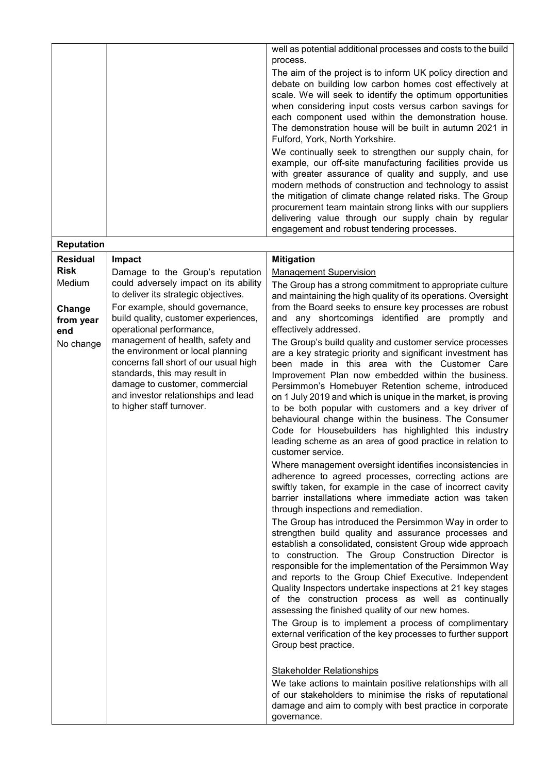|                                                                                                                                                                                                                                                                    |                                                                                                                                                                                                                                                                                                                                                                                                                                                                                                                                                                                                                 | well as potential additional processes and costs to the build<br>process.<br>The aim of the project is to inform UK policy direction and<br>debate on building low carbon homes cost effectively at<br>scale. We will seek to identify the optimum opportunities<br>when considering input costs versus carbon savings for<br>each component used within the demonstration house.                                                                                                                                                                                                                                                                     |
|--------------------------------------------------------------------------------------------------------------------------------------------------------------------------------------------------------------------------------------------------------------------|-----------------------------------------------------------------------------------------------------------------------------------------------------------------------------------------------------------------------------------------------------------------------------------------------------------------------------------------------------------------------------------------------------------------------------------------------------------------------------------------------------------------------------------------------------------------------------------------------------------------|-------------------------------------------------------------------------------------------------------------------------------------------------------------------------------------------------------------------------------------------------------------------------------------------------------------------------------------------------------------------------------------------------------------------------------------------------------------------------------------------------------------------------------------------------------------------------------------------------------------------------------------------------------|
|                                                                                                                                                                                                                                                                    |                                                                                                                                                                                                                                                                                                                                                                                                                                                                                                                                                                                                                 | The demonstration house will be built in autumn 2021 in<br>Fulford, York, North Yorkshire.                                                                                                                                                                                                                                                                                                                                                                                                                                                                                                                                                            |
|                                                                                                                                                                                                                                                                    |                                                                                                                                                                                                                                                                                                                                                                                                                                                                                                                                                                                                                 | We continually seek to strengthen our supply chain, for<br>example, our off-site manufacturing facilities provide us<br>with greater assurance of quality and supply, and use<br>modern methods of construction and technology to assist<br>the mitigation of climate change related risks. The Group<br>procurement team maintain strong links with our suppliers<br>delivering value through our supply chain by regular<br>engagement and robust tendering processes.                                                                                                                                                                              |
| <b>Reputation</b>                                                                                                                                                                                                                                                  |                                                                                                                                                                                                                                                                                                                                                                                                                                                                                                                                                                                                                 |                                                                                                                                                                                                                                                                                                                                                                                                                                                                                                                                                                                                                                                       |
| <b>Residual</b>                                                                                                                                                                                                                                                    | Impact                                                                                                                                                                                                                                                                                                                                                                                                                                                                                                                                                                                                          | <b>Mitigation</b>                                                                                                                                                                                                                                                                                                                                                                                                                                                                                                                                                                                                                                     |
| <b>Risk</b>                                                                                                                                                                                                                                                        | Damage to the Group's reputation                                                                                                                                                                                                                                                                                                                                                                                                                                                                                                                                                                                | <b>Management Supervision</b>                                                                                                                                                                                                                                                                                                                                                                                                                                                                                                                                                                                                                         |
| Medium<br>Change<br>from year                                                                                                                                                                                                                                      | could adversely impact on its ability<br>to deliver its strategic objectives.<br>For example, should governance,<br>build quality, customer experiences,                                                                                                                                                                                                                                                                                                                                                                                                                                                        | The Group has a strong commitment to appropriate culture<br>and maintaining the high quality of its operations. Oversight<br>from the Board seeks to ensure key processes are robust<br>and any shortcomings identified are promptly and                                                                                                                                                                                                                                                                                                                                                                                                              |
| end                                                                                                                                                                                                                                                                | operational performance,                                                                                                                                                                                                                                                                                                                                                                                                                                                                                                                                                                                        | effectively addressed.                                                                                                                                                                                                                                                                                                                                                                                                                                                                                                                                                                                                                                |
| management of health, safety and<br>No change<br>the environment or local planning<br>concerns fall short of our usual high<br>standards, this may result in<br>damage to customer, commercial<br>and investor relationships and lead<br>to higher staff turnover. | The Group's build quality and customer service processes<br>are a key strategic priority and significant investment has<br>been made in this area with the Customer Care<br>Improvement Plan now embedded within the business.<br>Persimmon's Homebuyer Retention scheme, introduced<br>on 1 July 2019 and which is unique in the market, is proving<br>to be both popular with customers and a key driver of<br>behavioural change within the business. The Consumer<br>Code for Housebuilders has highlighted this industry<br>leading scheme as an area of good practice in relation to<br>customer service. |                                                                                                                                                                                                                                                                                                                                                                                                                                                                                                                                                                                                                                                       |
|                                                                                                                                                                                                                                                                    |                                                                                                                                                                                                                                                                                                                                                                                                                                                                                                                                                                                                                 | Where management oversight identifies inconsistencies in<br>adherence to agreed processes, correcting actions are<br>swiftly taken, for example in the case of incorrect cavity<br>barrier installations where immediate action was taken<br>through inspections and remediation.                                                                                                                                                                                                                                                                                                                                                                     |
|                                                                                                                                                                                                                                                                    |                                                                                                                                                                                                                                                                                                                                                                                                                                                                                                                                                                                                                 | The Group has introduced the Persimmon Way in order to<br>strengthen build quality and assurance processes and<br>establish a consolidated, consistent Group wide approach<br>to construction. The Group Construction Director is<br>responsible for the implementation of the Persimmon Way<br>and reports to the Group Chief Executive. Independent<br>Quality Inspectors undertake inspections at 21 key stages<br>of the construction process as well as continually<br>assessing the finished quality of our new homes.<br>The Group is to implement a process of complimentary<br>external verification of the key processes to further support |
|                                                                                                                                                                                                                                                                    |                                                                                                                                                                                                                                                                                                                                                                                                                                                                                                                                                                                                                 | Group best practice.<br><b>Stakeholder Relationships</b><br>We take actions to maintain positive relationships with all<br>of our stakeholders to minimise the risks of reputational<br>damage and aim to comply with best practice in corporate<br>governance.                                                                                                                                                                                                                                                                                                                                                                                       |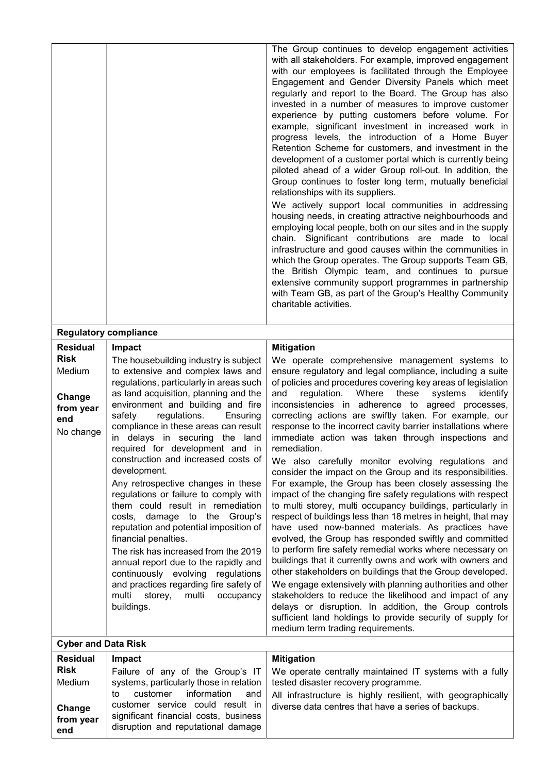|                                         |                                                                                                                                                                                                                                                                                                                                                                                                                                                                                                                                                                                                                                                                                                                                                                                | The Group continues to develop engagement activities<br>with all stakeholders. For example, improved engagement<br>with our employees is facilitated through the Employee<br>Engagement and Gender Diversity Panels which meet<br>regularly and report to the Board. The Group has also<br>invested in a number of measures to improve customer<br>experience by putting customers before volume. For<br>example, significant investment in increased work in<br>progress levels, the introduction of a Home Buyer<br>Retention Scheme for customers, and investment in the<br>development of a customer portal which is currently being<br>piloted ahead of a wider Group roll-out. In addition, the<br>Group continues to foster long term, mutually beneficial<br>relationships with its suppliers.<br>We actively support local communities in addressing<br>housing needs, in creating attractive neighbourhoods and<br>employing local people, both on our sites and in the supply<br>chain. Significant contributions are made to local<br>infrastructure and good causes within the communities in<br>which the Group operates. The Group supports Team GB,<br>the British Olympic team, and continues to pursue<br>extensive community support programmes in partnership<br>with Team GB, as part of the Group's Healthy Community<br>charitable activities.                                             |  |  |
|-----------------------------------------|--------------------------------------------------------------------------------------------------------------------------------------------------------------------------------------------------------------------------------------------------------------------------------------------------------------------------------------------------------------------------------------------------------------------------------------------------------------------------------------------------------------------------------------------------------------------------------------------------------------------------------------------------------------------------------------------------------------------------------------------------------------------------------|-------------------------------------------------------------------------------------------------------------------------------------------------------------------------------------------------------------------------------------------------------------------------------------------------------------------------------------------------------------------------------------------------------------------------------------------------------------------------------------------------------------------------------------------------------------------------------------------------------------------------------------------------------------------------------------------------------------------------------------------------------------------------------------------------------------------------------------------------------------------------------------------------------------------------------------------------------------------------------------------------------------------------------------------------------------------------------------------------------------------------------------------------------------------------------------------------------------------------------------------------------------------------------------------------------------------------------------------------------------------------------------------------------------------|--|--|
| <b>Regulatory compliance</b>            |                                                                                                                                                                                                                                                                                                                                                                                                                                                                                                                                                                                                                                                                                                                                                                                |                                                                                                                                                                                                                                                                                                                                                                                                                                                                                                                                                                                                                                                                                                                                                                                                                                                                                                                                                                                                                                                                                                                                                                                                                                                                                                                                                                                                                   |  |  |
| <b>Residual</b>                         | Impact                                                                                                                                                                                                                                                                                                                                                                                                                                                                                                                                                                                                                                                                                                                                                                         | <b>Mitigation</b>                                                                                                                                                                                                                                                                                                                                                                                                                                                                                                                                                                                                                                                                                                                                                                                                                                                                                                                                                                                                                                                                                                                                                                                                                                                                                                                                                                                                 |  |  |
| <b>Risk</b><br>Medium                   | The housebuilding industry is subject<br>to extensive and complex laws and                                                                                                                                                                                                                                                                                                                                                                                                                                                                                                                                                                                                                                                                                                     | We operate comprehensive management systems to                                                                                                                                                                                                                                                                                                                                                                                                                                                                                                                                                                                                                                                                                                                                                                                                                                                                                                                                                                                                                                                                                                                                                                                                                                                                                                                                                                    |  |  |
| Change<br>from year<br>end<br>No change | regulations, particularly in areas such<br>as land acquisition, planning and the<br>environment and building and fire<br>safety<br>regulations.<br>Ensuring<br>compliance in these areas can result<br>in delays in securing the land<br>required for development and in<br>construction and increased costs of<br>development.<br>Any retrospective changes in these<br>regulations or failure to comply with<br>them could result in remediation<br>costs, damage to the Group's<br>reputation and potential imposition of<br>financial penalties.<br>The risk has increased from the 2019<br>annual report due to the rapidly and<br>continuously evolving<br>regulations<br>and practices regarding fire safety of<br>multi<br>storey,<br>multi<br>occupancy<br>buildings. | ensure regulatory and legal compliance, including a suite<br>of policies and procedures covering key areas of legislation<br>regulation.<br>Where<br>these<br>and<br>systems<br>identify<br>inconsistencies in adherence to agreed processes,<br>correcting actions are swiftly taken. For example, our<br>response to the incorrect cavity barrier installations where<br>immediate action was taken through inspections and<br>remediation.<br>We also carefully monitor evolving regulations and<br>consider the impact on the Group and its responsibilities.<br>For example, the Group has been closely assessing the<br>impact of the changing fire safety regulations with respect<br>to multi storey, multi occupancy buildings, particularly in<br>respect of buildings less than 18 metres in height, that may<br>have used now-banned materials. As practices have<br>evolved, the Group has responded swiftly and committed<br>to perform fire safety remedial works where necessary on<br>buildings that it currently owns and work with owners and<br>other stakeholders on buildings that the Group developed.<br>We engage extensively with planning authorities and other<br>stakeholders to reduce the likelihood and impact of any<br>delays or disruption. In addition, the Group controls<br>sufficient land holdings to provide security of supply for<br>medium term trading requirements. |  |  |
| <b>Cyber and Data Risk</b>              |                                                                                                                                                                                                                                                                                                                                                                                                                                                                                                                                                                                                                                                                                                                                                                                |                                                                                                                                                                                                                                                                                                                                                                                                                                                                                                                                                                                                                                                                                                                                                                                                                                                                                                                                                                                                                                                                                                                                                                                                                                                                                                                                                                                                                   |  |  |
| <b>Residual</b>                         | Impact                                                                                                                                                                                                                                                                                                                                                                                                                                                                                                                                                                                                                                                                                                                                                                         | <b>Mitigation</b>                                                                                                                                                                                                                                                                                                                                                                                                                                                                                                                                                                                                                                                                                                                                                                                                                                                                                                                                                                                                                                                                                                                                                                                                                                                                                                                                                                                                 |  |  |
| <b>Risk</b><br>Medium                   | Failure of any of the Group's IT<br>systems, particularly those in relation<br>information<br>customer<br>to<br>and<br>customer service could result in                                                                                                                                                                                                                                                                                                                                                                                                                                                                                                                                                                                                                        | We operate centrally maintained IT systems with a fully<br>tested disaster recovery programme.<br>All infrastructure is highly resilient, with geographically<br>diverse data centres that have a series of backups.                                                                                                                                                                                                                                                                                                                                                                                                                                                                                                                                                                                                                                                                                                                                                                                                                                                                                                                                                                                                                                                                                                                                                                                              |  |  |
| Change<br>from year<br>end              | significant financial costs, business<br>disruption and reputational damage                                                                                                                                                                                                                                                                                                                                                                                                                                                                                                                                                                                                                                                                                                    |                                                                                                                                                                                                                                                                                                                                                                                                                                                                                                                                                                                                                                                                                                                                                                                                                                                                                                                                                                                                                                                                                                                                                                                                                                                                                                                                                                                                                   |  |  |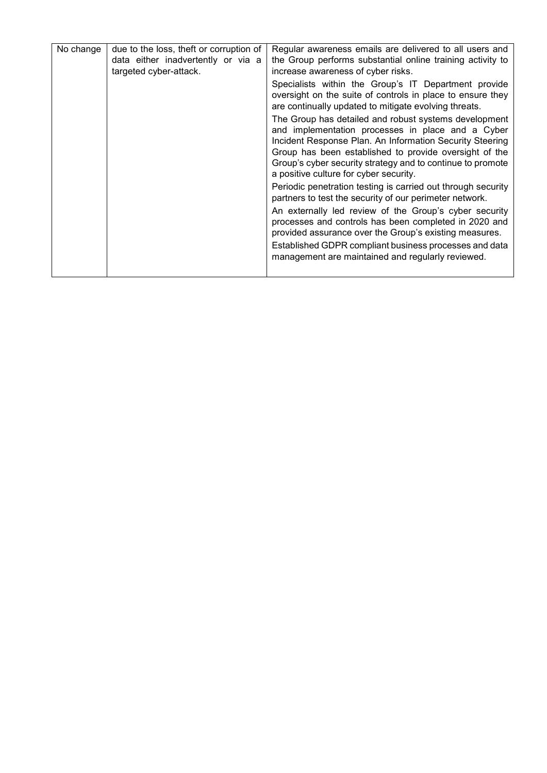| No change | due to the loss, theft or corruption of<br>data either inadvertently or via a<br>targeted cyber-attack. | Regular awareness emails are delivered to all users and<br>the Group performs substantial online training activity to<br>increase awareness of cyber risks.                                                                                                                                                                              |
|-----------|---------------------------------------------------------------------------------------------------------|------------------------------------------------------------------------------------------------------------------------------------------------------------------------------------------------------------------------------------------------------------------------------------------------------------------------------------------|
|           |                                                                                                         | Specialists within the Group's IT Department provide<br>oversight on the suite of controls in place to ensure they<br>are continually updated to mitigate evolving threats.                                                                                                                                                              |
|           |                                                                                                         | The Group has detailed and robust systems development<br>and implementation processes in place and a Cyber<br>Incident Response Plan. An Information Security Steering<br>Group has been established to provide oversight of the<br>Group's cyber security strategy and to continue to promote<br>a positive culture for cyber security. |
|           |                                                                                                         | Periodic penetration testing is carried out through security<br>partners to test the security of our perimeter network.                                                                                                                                                                                                                  |
|           |                                                                                                         | An externally led review of the Group's cyber security<br>processes and controls has been completed in 2020 and<br>provided assurance over the Group's existing measures.<br>Established GDPR compliant business processes and data                                                                                                      |
|           |                                                                                                         | management are maintained and regularly reviewed.                                                                                                                                                                                                                                                                                        |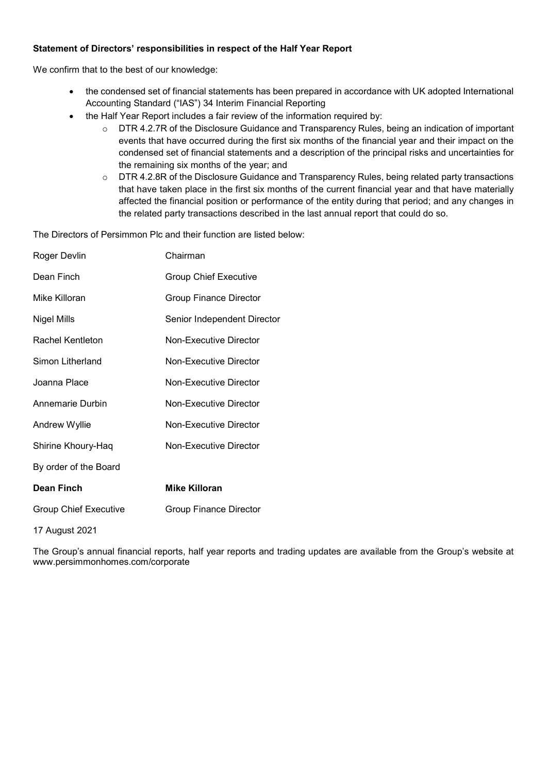# Statement of Directors' responsibilities in respect of the Half Year Report

We confirm that to the best of our knowledge:

- the condensed set of financial statements has been prepared in accordance with UK adopted International Accounting Standard ("IAS") 34 Interim Financial Reporting
- the Half Year Report includes a fair review of the information required by:
	- o DTR 4.2.7R of the Disclosure Guidance and Transparency Rules, being an indication of important events that have occurred during the first six months of the financial year and their impact on the condensed set of financial statements and a description of the principal risks and uncertainties for the remaining six months of the year; and
	- o DTR 4.2.8R of the Disclosure Guidance and Transparency Rules, being related party transactions that have taken place in the first six months of the current financial year and that have materially affected the financial position or performance of the entity during that period; and any changes in the related party transactions described in the last annual report that could do so.

The Directors of Persimmon Plc and their function are listed below:

| Roger Devlin                 | Chairman                      |
|------------------------------|-------------------------------|
| Dean Finch                   | <b>Group Chief Executive</b>  |
| Mike Killoran                | <b>Group Finance Director</b> |
| Nigel Mills                  | Senior Independent Director   |
| Rachel Kentleton             | Non-Executive Director        |
| Simon Litherland             | Non-Executive Director        |
| Joanna Place                 | Non-Executive Director        |
| Annemarie Durbin             | Non-Executive Director        |
| Andrew Wyllie                | Non-Executive Director        |
| Shirine Khoury-Haq           | Non-Executive Director        |
| By order of the Board        |                               |
| Dean Finch                   | <b>Mike Killoran</b>          |
| <b>Group Chief Executive</b> | <b>Group Finance Director</b> |
| 17 August 2021               |                               |

The Group's annual financial reports, half year reports and trading updates are available from the Group's website at www.persimmonhomes.com/corporate